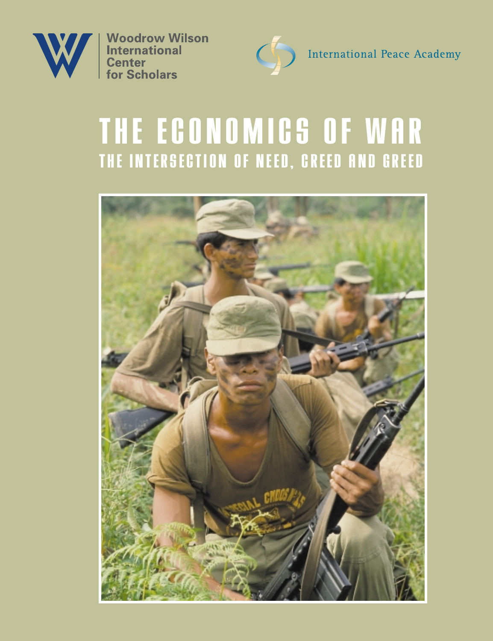

**Woodrow Wilson International Center** for Scholars



International Peace Academy

# **THE ECONOMICS OF WAR THE INTERSECTION OF NEED, CREED AND GREED**

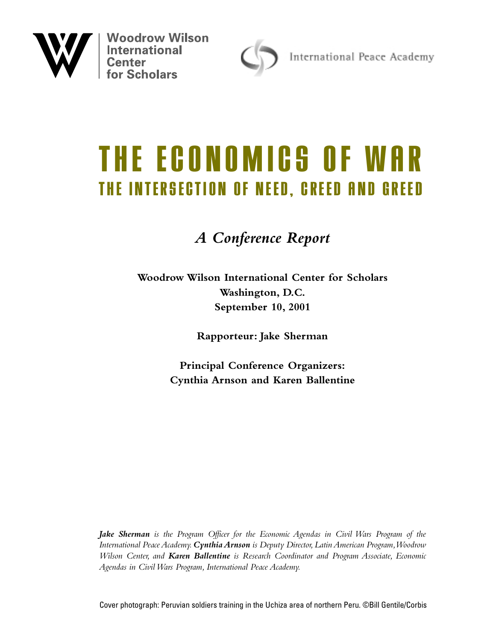

**Woodrow Wilson International**<br>Center



International Peace Academy

# **THE ECONOMICS OF WAR THE INTERSECTION OF NEED, CREED AND GREED**

## *A Conference Report*

**Woodrow Wilson International Center for Scholars Washington, D.C. September 10, 2001**

**Rapporteur: Jake Sherman**

**Principal Conference Organizers: Cynthia Arnson and Karen Ballentine**

*Jake Sherman is the Program Officer for the Economic Agendas in Civil Wars Program of the International Peace Academy.Cynthia Arnson is Deputy Director, Latin American Program,Woodrow Wilson Center, and Karen Ballentine is Research Coordinator and Program Associate, Economic Agendas in Civil Wars Program, International Peace Academy.*

Cover photograph: Peruvian soldiers training in the Uchiza area of northern Peru. ©Bill Gentile/Corbis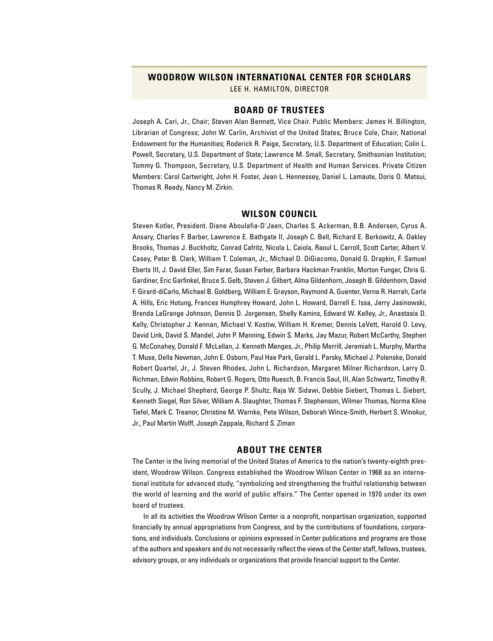#### **WOODROW WILSON INTERNATIONAL CENTER FOR SCHOLARS**

LEE H. HAMILTON, DIRECTOR

#### **BOARD OF TRUSTEES**

Joseph A. Cari, Jr., Chair; Steven Alan Bennett, Vice Chair. Public Members: James H. Billington, Librarian of Congress; John W. Carlin, Archivist of the United States; Bruce Cole, Chair, National Endowment for the Humanities; Roderick R. Paige, Secretary, U.S. Department of Education; Colin L. Powell, Secretary, U.S. Department of State; Lawrence M. Small, Secretary, Smithsonian Institution; Tommy G. Thompson, Secretary, U.S. Department of Health and Human Services. Private Citizen Members: Carol Cartwright, John H. Foster, Jean L. Hennessey, Daniel L. Lamaute, Doris O. Matsui, Thomas R. Reedy, Nancy M. Zirkin.

#### **WILSON COUNCIL**

Steven Kotler, President. Diane Aboulafia-D'Jaen, Charles S. Ackerman, B.B. Andersen, Cyrus A. Ansary, Charles F. Barber, Lawrence E. Bathgate II, Joseph C. Bell, Richard E. Berkowitz, A. Oakley Brooks, Thomas J. Buckholtz, Conrad Cafritz, Nicola L. Caiola, Raoul L. Carroll, Scott Carter, Albert V. Casey, Peter B. Clark, William T. Coleman, Jr., Michael D. DiGiacomo, Donald G. Drapkin, F. Samuel Eberts III, J. David Eller, Sim Farar, Susan Farber, Barbara Hackman Franklin, Morton Funger, Chris G. Gardiner, Eric Garfinkel, Bruce S. Gelb, Steven J. Gilbert, Alma Gildenhorn, Joseph B. Gildenhorn, David F. Girard-diCarlo, Michael B. Goldberg, William E. Grayson, Raymond A. Guenter, Verna R. Harrah, Carla A. Hills, Eric Hotung, Frances Humphrey Howard, John L. Howard, Darrell E. Issa, Jerry Jasinowski, Brenda LaGrange Johnson, Dennis D. Jorgensen, Shelly Kamins, Edward W. Kelley, Jr., Anastasia D. Kelly, Christopher J. Kennan, Michael V. Kostiw, William H. Kremer, Dennis LeVett, Harold O. Levy, David Link, David S. Mandel, John P. Manning, Edwin S. Marks, Jay Mazur, Robert McCarthy, Stephen G. McConahey, Donald F. McLellan, J. Kenneth Menges, Jr., Philip Merrill, Jeremiah L. Murphy, Martha T. Muse, Della Newman, John E. Osborn, Paul Hae Park, Gerald L. Parsky, Michael J. Polenske, Donald Robert Quartel, Jr., J. Steven Rhodes, John L. Richardson, Margaret Milner Richardson, Larry D. Richman, Edwin Robbins, Robert G. Rogers, Otto Ruesch, B. Francis Saul, III, Alan Schwartz, Timothy R. Scully, J. Michael Shepherd, George P. Shultz, Raja W. Sidawi, Debbie Siebert, Thomas L. Siebert, Kenneth Siegel, Ron Silver, William A. Slaughter, Thomas F. Stephenson, Wilmer Thomas, Norma Kline Tiefel, Mark C. Treanor, Christine M. Warnke, Pete Wilson, Deborah Wince-Smith, Herbert S. Winokur, Jr., Paul Martin Wolff, Joseph Zappala, Richard S. Ziman

#### **ABOUT THE CENTER**

The Center is the living memorial of the United States of America to the nation's twenty-eighth president, Woodrow Wilson. Congress established the Woodrow Wilson Center in 1968 as an international institute for advanced study, "symbolizing and strengthening the fruitful relationship between the world of learning and the world of public affairs." The Center opened in 1970 under its own board of trustees.

In all its activities the Woodrow Wilson Center is a nonprofit, nonpartisan organization, supported financially by annual appropriations from Congress, and by the contributions of foundations, corporations, and individuals. Conclusions or opinions expressed in Center publications and programs are those of the authors and speakers and do not necessarily reflect the views of the Center staff, fellows, trustees, advisory groups, or any individuals or organizations that provide financial support to the Center.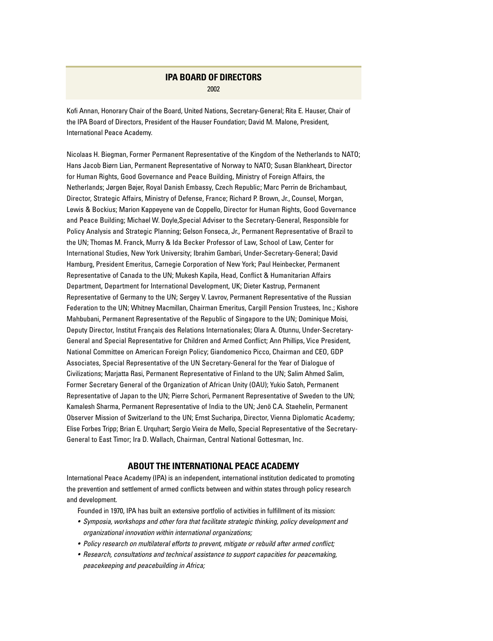#### **IPA BOARD OF DIRECTORS** 2002

Kofi Annan, Honorary Chair of the Board, United Nations, Secretary-General; Rita E. Hauser, Chair of the IPA Board of Directors, President of the Hauser Foundation; David M. Malone, President, International Peace Academy.

Nicolaas H. Biegman, Former Permanent Representative of the Kingdom of the Netherlands to NATO; Hans Jacob Biørn Lian, Permanent Representative of Norway to NATO; Susan Blankheart, Director for Human Rights, Good Governance and Peace Building, Ministry of Foreign Affairs, the Netherlands; Jørgen Bøjer, Royal Danish Embassy, Czech Republic; Marc Perrin de Brichambaut, Director, Strategic Affairs, Ministry of Defense, France; Richard P. Brown, Jr., Counsel, Morgan, Lewis & Bockius; Marion Kappeyene van de Coppello, Director for Human Rights, Good Governance and Peace Building; Michael W. Doyle,Special Adviser to the Secretary-General, Responsible for Policy Analysis and Strategic Planning; Gelson Fonseca, Jr., Permanent Representative of Brazil to the UN; Thomas M. Franck, Murry & Ida Becker Professor of Law, School of Law, Center for International Studies, New York University; Ibrahim Gambari, Under-Secretary-General; David Hamburg, President Emeritus, Carnegie Corporation of New York; Paul Heinbecker, Permanent Representative of Canada to the UN; Mukesh Kapila, Head, Conflict & Humanitarian Affairs Department, Department for International Development, UK; Dieter Kastrup, Permanent Representative of Germany to the UN; Sergey V. Lavrov, Permanent Representative of the Russian Federation to the UN; Whitney Macmillan, Chairman Emeritus, Cargill Pension Trustees, Inc.; Kishore Mahbubani, Permanent Representative of the Republic of Singapore to the UN; Dominique Moisi, Deputy Director, Institut Français des Relations Internationales; Olara A. Otunnu, Under-Secretary-General and Special Representative for Children and Armed Conflict; Ann Phillips, Vice President, National Committee on American Foreign Policy; Giandomenico Picco, Chairman and CEO, GDP Associates, Special Representative of the UN Secretary-General for the Year of Dialogue of Civilizations; Marjatta Rasi, Permanent Representative of Finland to the UN; Salim Ahmed Salim, Former Secretary General of the Organization of African Unity (OAU); Yukio Satoh, Permanent Representative of Japan to the UN; Pierre Schori, Permanent Representative of Sweden to the UN; Kamalesh Sharma, Permanent Representative of India to the UN; Jenö C.A. Staehelin, Permanent Observer Mission of Switzerland to the UN; Ernst Sucharipa, Director, Vienna Diplomatic Academy; Elise Forbes Tripp; Brian E. Urquhart; Sergio Vieira de Mello, Special Representative of the Secretary-General to East Timor; Ira D. Wallach, Chairman, Central National Gottesman, Inc.

#### **ABOUT THE INTERNATIONAL PEACE ACADEMY**

International Peace Academy (IPA) is an independent, international institution dedicated to promoting the prevention and settlement of armed conflicts between and within states through policy research and development.

Founded in 1970, IPA has built an extensive portfolio of activities in fulfillment of its mission:

- *Symposia, workshops and other fora that facilitate strategic thinking, policy development and organizational innovation within international organizations;*
- *Policy research on multilateral efforts to prevent, mitigate or rebuild after armed conflict;*
- *Research, consultations and technical assistance to support capacities for peacemaking, peacekeeping and peacebuilding in Africa;*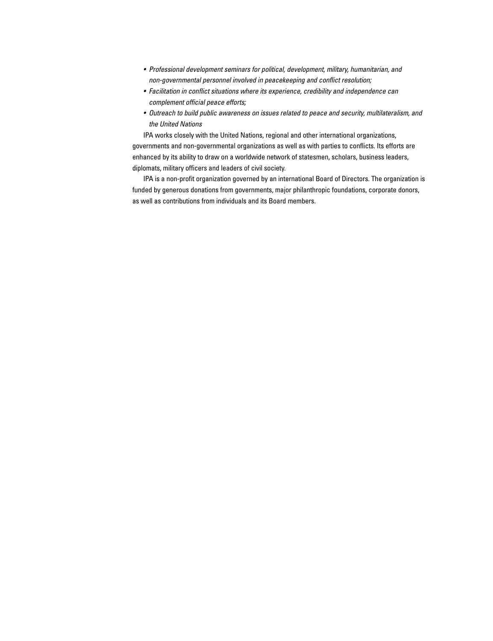- *Professional development seminars for political, development, military, humanitarian, and non-governmental personnel involved in peacekeeping and conflict resolution;*
- *Facilitation in conflict situations where its experience, credibility and independence can complement official peace efforts;*
- *Outreach to build public awareness on issues related to peace and security, multilateralism, and the United Nations*

IPA works closely with the United Nations, regional and other international organizations, governments and non-governmental organizations as well as with parties to conflicts. Its efforts are enhanced by its ability to draw on a worldwide network of statesmen, scholars, business leaders, diplomats, military officers and leaders of civil society.

IPA is a non-profit organization governed by an international Board of Directors. The organization is funded by generous donations from governments, major philanthropic foundations, corporate donors, as well as contributions from individuals and its Board members.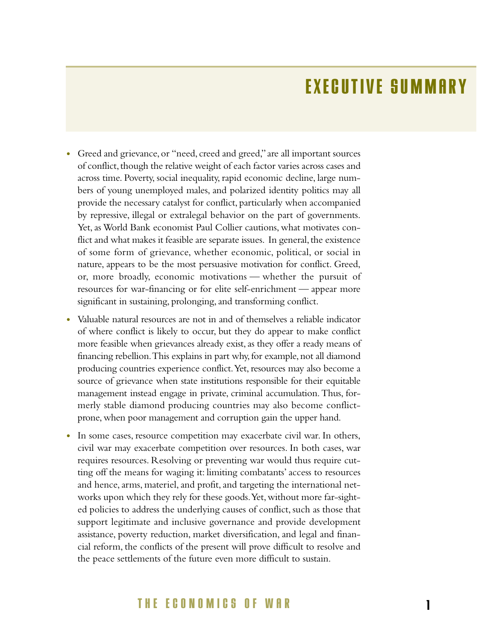## **EXECUTIVE SUMMARY**

- Greed and grievance, or "need, creed and greed," are all important sources of conflict, though the relative weight of each factor varies across cases and across time. Poverty, social inequality, rapid economic decline, large numbers of young unemployed males, and polarized identity politics may all provide the necessary catalyst for conflict, particularly when accompanied by repressive, illegal or extralegal behavior on the part of governments. Yet, as World Bank economist Paul Collier cautions, what motivates conflict and what makes it feasible are separate issues. In general, the existence of some form of grievance, whether economic, political, or social in nature, appears to be the most persuasive motivation for conflict. Greed, or, more broadly, economic motivations — whether the pursuit of resources for war-financing or for elite self-enrichment — appear more significant in sustaining, prolonging, and transforming conflict.
- **•** Valuable natural resources are not in and of themselves a reliable indicator of where conflict is likely to occur, but they do appear to make conflict more feasible when grievances already exist, as they offer a ready means of financing rebellion. This explains in part why, for example, not all diamond producing countries experience conflict.Yet, resources may also become a source of grievance when state institutions responsible for their equitable management instead engage in private, criminal accumulation.Thus, formerly stable diamond producing countries may also become conflictprone, when poor management and corruption gain the upper hand.
- In some cases, resource competition may exacerbate civil war. In others, civil war may exacerbate competition over resources. In both cases, war requires resources. Resolving or preventing war would thus require cutting off the means for waging it: limiting combatants' access to resources and hence, arms, materiel, and profit, and targeting the international networks upon which they rely for these goods. Yet, without more far-sighted policies to address the underlying causes of conflict, such as those that support legitimate and inclusive governance and provide development assistance, poverty reduction, market diversification, and legal and financial reform, the conflicts of the present will prove difficult to resolve and the peace settlements of the future even more difficult to sustain.

### **THE ECONOMICS OF WAR**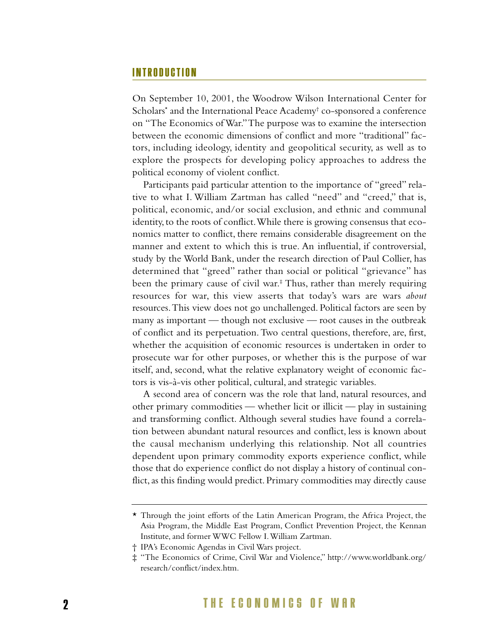### **INTRODUCTION**

On September 10, 2001, the Woodrow Wilson International Center for Scholars\* and the International Peace Academy† co-sponsored a conference on "The Economics of War."The purpose was to examine the intersection between the economic dimensions of conflict and more "traditional" factors, including ideology, identity and geopolitical security, as well as to explore the prospects for developing policy approaches to address the political economy of violent conflict.

Participants paid particular attention to the importance of "greed" relative to what I. William Zartman has called "need" and "creed," that is, political, economic, and/or social exclusion, and ethnic and communal identity, to the roots of conflict.While there is growing consensus that economics matter to conflict, there remains considerable disagreement on the manner and extent to which this is true. An influential, if controversial, study by the World Bank, under the research direction of Paul Collier, has determined that "greed" rather than social or political "grievance" has been the primary cause of civil war.<sup>‡</sup> Thus, rather than merely requiring resources for war, this view asserts that today's wars are wars *about* resources.This view does not go unchallenged. Political factors are seen by many as important — though not exclusive — root causes in the outbreak of conflict and its perpetuation. Two central questions, therefore, are, first, whether the acquisition of economic resources is undertaken in order to prosecute war for other purposes, or whether this is the purpose of war itself, and, second, what the relative explanatory weight of economic factors is vis-à-vis other political, cultural, and strategic variables.

A second area of concern was the role that land, natural resources, and other primary commodities — whether licit or illicit — play in sustaining and transforming conflict. Although several studies have found a correlation between abundant natural resources and conflict, less is known about the causal mechanism underlying this relationship. Not all countries dependent upon primary commodity exports experience conflict, while those that do experience conflict do not display a history of continual conflict, as this finding would predict. Primary commodities may directly cause

<sup>\*</sup> Through the joint efforts of the Latin American Program, the Africa Project, the Asia Program, the Middle East Program, Conflict Prevention Project, the Kennan Institute, and former WWC Fellow I.William Zartman.

<sup>†</sup> IPA's Economic Agendas in Civil Wars project.

<sup>‡ &</sup>quot;The Economics of Crime, Civil War and Violence," http://www.worldbank.org/ research/conflict/index.htm.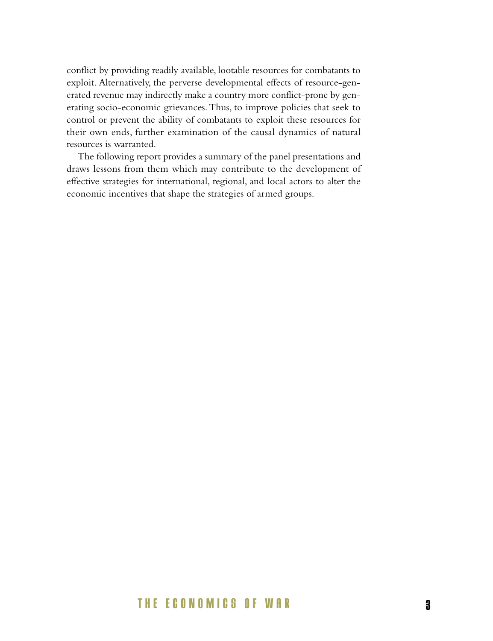conflict by providing readily available, lootable resources for combatants to exploit. Alternatively, the perverse developmental effects of resource-generated revenue may indirectly make a country more conflict-prone by generating socio-economic grievances. Thus, to improve policies that seek to control or prevent the ability of combatants to exploit these resources for their own ends, further examination of the causal dynamics of natural resources is warranted.

The following report provides a summary of the panel presentations and draws lessons from them which may contribute to the development of effective strategies for international, regional, and local actors to alter the economic incentives that shape the strategies of armed groups.

### **THE ECONOMICS OF WAR 3**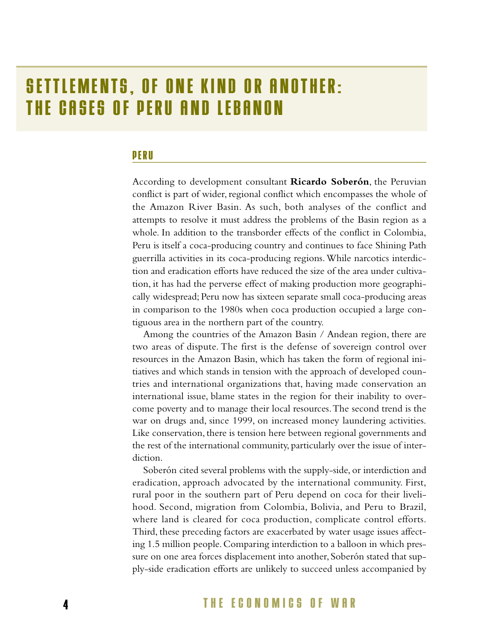## **SETTLEMENTS, OF ONE KIND OR ANOTHER: THE CASES OF PERU AND LEBANON**

### **PERU**

According to development consultant **Ricardo Soberón**, the Peruvian conflict is part of wider, regional conflict which encompasses the whole of the Amazon River Basin. As such, both analyses of the conflict and attempts to resolve it must address the problems of the Basin region as a whole. In addition to the transborder effects of the conflict in Colombia, Peru is itself a coca-producing country and continues to face Shining Path guerrilla activities in its coca-producing regions.While narcotics interdiction and eradication efforts have reduced the size of the area under cultivation, it has had the perverse effect of making production more geographically widespread; Peru now has sixteen separate small coca-producing areas in comparison to the 1980s when coca production occupied a large contiguous area in the northern part of the country.

Among the countries of the Amazon Basin / Andean region, there are two areas of dispute. The first is the defense of sovereign control over resources in the Amazon Basin, which has taken the form of regional initiatives and which stands in tension with the approach of developed countries and international organizations that, having made conservation an international issue, blame states in the region for their inability to overcome poverty and to manage their local resources.The second trend is the war on drugs and, since 1999, on increased money laundering activities. Like conservation, there is tension here between regional governments and the rest of the international community, particularly over the issue of interdiction.

Soberón cited several problems with the supply-side, or interdiction and eradication, approach advocated by the international community. First, rural poor in the southern part of Peru depend on coca for their livelihood. Second, migration from Colombia, Bolivia, and Peru to Brazil, where land is cleared for coca production, complicate control efforts. Third, these preceding factors are exacerbated by water usage issues affecting 1.5 million people. Comparing interdiction to a balloon in which pressure on one area forces displacement into another, Soberón stated that supply-side eradication efforts are unlikely to succeed unless accompanied by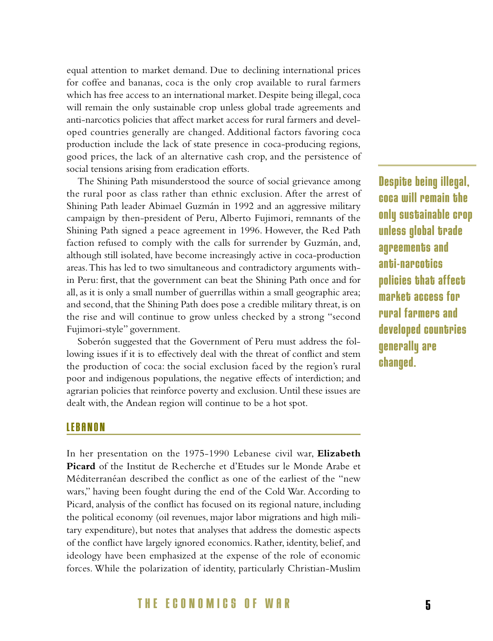equal attention to market demand. Due to declining international prices for coffee and bananas, coca is the only crop available to rural farmers which has free access to an international market. Despite being illegal, coca will remain the only sustainable crop unless global trade agreements and anti-narcotics policies that affect market access for rural farmers and developed countries generally are changed. Additional factors favoring coca production include the lack of state presence in coca-producing regions, good prices, the lack of an alternative cash crop, and the persistence of social tensions arising from eradication efforts.

The Shining Path misunderstood the source of social grievance among the rural poor as class rather than ethnic exclusion. After the arrest of Shining Path leader Abimael Guzmán in 1992 and an aggressive military campaign by then-president of Peru, Alberto Fujimori, remnants of the Shining Path signed a peace agreement in 1996. However, the Red Path faction refused to comply with the calls for surrender by Guzmán, and, although still isolated, have become increasingly active in coca-production areas.This has led to two simultaneous and contradictory arguments within Peru: first, that the government can beat the Shining Path once and for all, as it is only a small number of guerrillas within a small geographic area; and second, that the Shining Path does pose a credible military threat, is on the rise and will continue to grow unless checked by a strong "second Fujimori-style" government.

Soberón suggested that the Government of Peru must address the following issues if it is to effectively deal with the threat of conflict and stem the production of coca: the social exclusion faced by the region's rural poor and indigenous populations, the negative effects of interdiction; and agrarian policies that reinforce poverty and exclusion. Until these issues are dealt with, the Andean region will continue to be a hot spot.

**Despite being illegal, coca will remain the only sustainable crop unless global trade agreements and anti-narcotics policies that affect market access for rural farmers and developed countries generally are changed.** 

#### **LEBANON**

In her presentation on the 1975-1990 Lebanese civil war, **Elizabeth Picard** of the Institut de Recherche et d'Etudes sur le Monde Arabe et Méditerranéan described the conflict as one of the earliest of the "new wars," having been fought during the end of the Cold War. According to Picard, analysis of the conflict has focused on its regional nature, including the political economy (oil revenues, major labor migrations and high military expenditure), but notes that analyses that address the domestic aspects of the conflict have largely ignored economics. Rather, identity, belief, and ideology have been emphasized at the expense of the role of economic forces. While the polarization of identity, particularly Christian-Muslim

### **THE ECONOMICS OF WAR 5**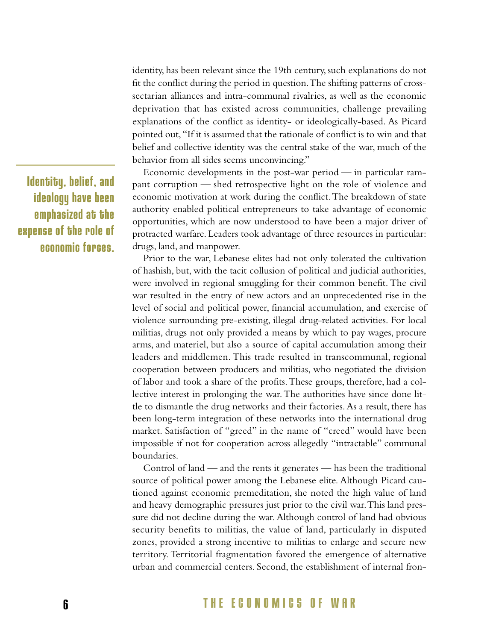identity, has been relevant since the 19th century, such explanations do not fit the conflict during the period in question.The shifting patterns of crosssectarian alliances and intra-communal rivalries, as well as the economic deprivation that has existed across communities, challenge prevailing explanations of the conflict as identity- or ideologically-based. As Picard pointed out, "If it is assumed that the rationale of conflict is to win and that belief and collective identity was the central stake of the war, much of the behavior from all sides seems unconvincing."

Economic developments in the post-war period — in particular rampant corruption — shed retrospective light on the role of violence and economic motivation at work during the conflict.The breakdown of state authority enabled political entrepreneurs to take advantage of economic opportunities, which are now understood to have been a major driver of protracted warfare. Leaders took advantage of three resources in particular: drugs, land, and manpower.

Prior to the war, Lebanese elites had not only tolerated the cultivation of hashish, but, with the tacit collusion of political and judicial authorities, were involved in regional smuggling for their common benefit. The civil war resulted in the entry of new actors and an unprecedented rise in the level of social and political power, financial accumulation, and exercise of violence surrounding pre-existing, illegal drug-related activities. For local militias, drugs not only provided a means by which to pay wages, procure arms, and materiel, but also a source of capital accumulation among their leaders and middlemen. This trade resulted in transcommunal, regional cooperation between producers and militias, who negotiated the division of labor and took a share of the profits.These groups, therefore, had a collective interest in prolonging the war.The authorities have since done little to dismantle the drug networks and their factories. As a result, there has been long-term integration of these networks into the international drug market. Satisfaction of "greed" in the name of "creed" would have been impossible if not for cooperation across allegedly "intractable" communal boundaries.

Control of land — and the rents it generates — has been the traditional source of political power among the Lebanese elite. Although Picard cautioned against economic premeditation, she noted the high value of land and heavy demographic pressures just prior to the civil war.This land pressure did not decline during the war. Although control of land had obvious security benefits to militias, the value of land, particularly in disputed zones, provided a strong incentive to militias to enlarge and secure new territory. Territorial fragmentation favored the emergence of alternative urban and commercial centers. Second, the establishment of internal fron-

**Identity, belief, and ideology have been emphasized at the expense of the role of economic forces.**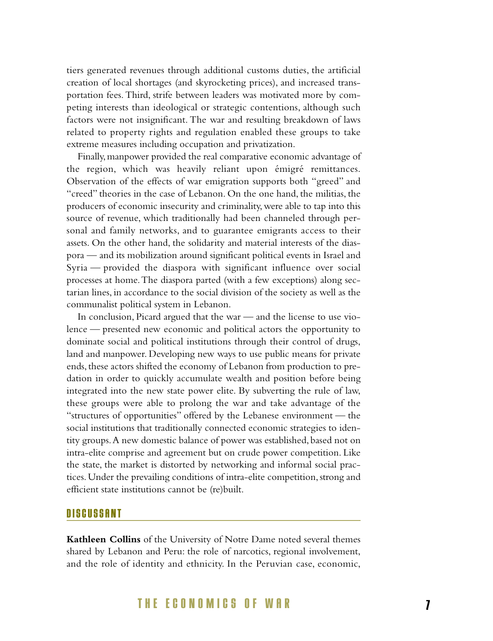tiers generated revenues through additional customs duties, the artificial creation of local shortages (and skyrocketing prices), and increased transportation fees. Third, strife between leaders was motivated more by competing interests than ideological or strategic contentions, although such factors were not insignificant. The war and resulting breakdown of laws related to property rights and regulation enabled these groups to take extreme measures including occupation and privatization.

Finally,manpower provided the real comparative economic advantage of the region, which was heavily reliant upon émigré remittances. Observation of the effects of war emigration supports both "greed" and "creed" theories in the case of Lebanon. On the one hand, the militias, the producers of economic insecurity and criminality, were able to tap into this source of revenue, which traditionally had been channeled through personal and family networks, and to guarantee emigrants access to their assets. On the other hand, the solidarity and material interests of the diaspora — and its mobilization around significant political events in Israel and Syria — provided the diaspora with significant influence over social processes at home.The diaspora parted (with a few exceptions) along sectarian lines, in accordance to the social division of the society as well as the communalist political system in Lebanon.

In conclusion, Picard argued that the war — and the license to use violence — presented new economic and political actors the opportunity to dominate social and political institutions through their control of drugs, land and manpower. Developing new ways to use public means for private ends, these actors shifted the economy of Lebanon from production to predation in order to quickly accumulate wealth and position before being integrated into the new state power elite. By subverting the rule of law, these groups were able to prolong the war and take advantage of the "structures of opportunities" offered by the Lebanese environment — the social institutions that traditionally connected economic strategies to identity groups.A new domestic balance of power was established, based not on intra-elite comprise and agreement but on crude power competition. Like the state, the market is distorted by networking and informal social practices. Under the prevailing conditions of intra-elite competition, strong and efficient state institutions cannot be (re)built.

### **DISCUSSANT**

**Kathleen Collins** of the University of Notre Dame noted several themes shared by Lebanon and Peru: the role of narcotics, regional involvement, and the role of identity and ethnicity. In the Peruvian case, economic,

### **THE ECONOMICS OF WAR 7**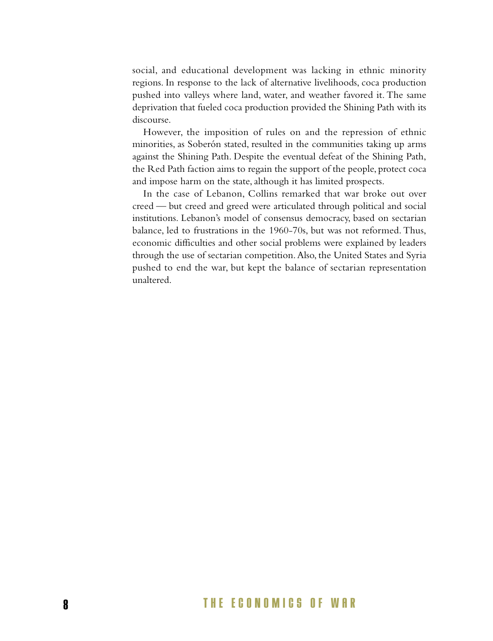social, and educational development was lacking in ethnic minority regions. In response to the lack of alternative livelihoods, coca production pushed into valleys where land, water, and weather favored it. The same deprivation that fueled coca production provided the Shining Path with its discourse.

However, the imposition of rules on and the repression of ethnic minorities, as Soberón stated, resulted in the communities taking up arms against the Shining Path. Despite the eventual defeat of the Shining Path, the Red Path faction aims to regain the support of the people, protect coca and impose harm on the state, although it has limited prospects.

In the case of Lebanon, Collins remarked that war broke out over creed — but creed and greed were articulated through political and social institutions. Lebanon's model of consensus democracy, based on sectarian balance, led to frustrations in the 1960-70s, but was not reformed. Thus, economic difficulties and other social problems were explained by leaders through the use of sectarian competition. Also, the United States and Syria pushed to end the war, but kept the balance of sectarian representation unaltered.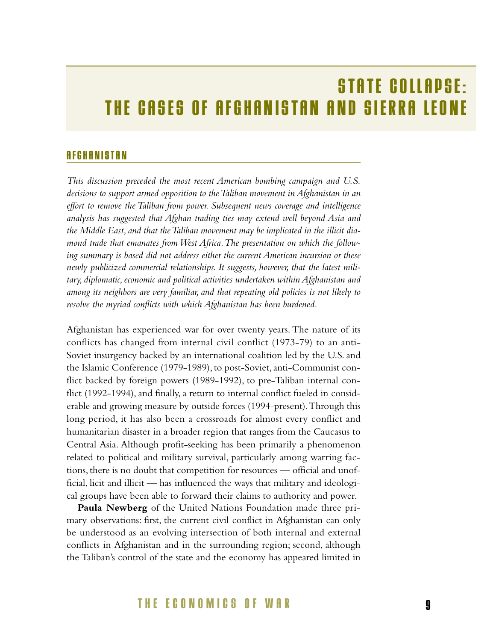## **STATE COLLAPSE: THE CASES OF AFGHANISTAN AND SIERRA LEONE**

### **AFGHANISTAN**

*This discussion preceded the most recent American bombing campaign and U.S. decisions to support armed opposition to the Taliban movement in Afghanistan in an effort to remove the Taliban from power. Subsequent news coverage and intelligence analysis has suggested that Afghan trading ties may extend well beyond Asia and the Middle East, and that the Taliban movement may be implicated in the illicit diamond trade that emanates from West Africa.The presentation on which the following summary is based did not address either the current American incursion or these newly publicized commercial relationships. It suggests, however, that the latest military, diplomatic, economic and political activities undertaken within Afghanistan and among its neighbors are very familiar, and that repeating old policies is not likely to resolve the myriad conflicts with which Afghanistan has been burdened.*

Afghanistan has experienced war for over twenty years. The nature of its conflicts has changed from internal civil conflict (1973-79) to an anti-Soviet insurgency backed by an international coalition led by the U.S. and the Islamic Conference (1979-1989), to post-Soviet, anti-Communist conflict backed by foreign powers (1989-1992), to pre-Taliban internal conflict (1992-1994), and finally, a return to internal conflict fueled in considerable and growing measure by outside forces (1994-present).Through this long period, it has also been a crossroads for almost every conflict and humanitarian disaster in a broader region that ranges from the Caucasus to Central Asia. Although profit-seeking has been primarily a phenomenon related to political and military survival, particularly among warring factions, there is no doubt that competition for resources — official and unofficial, licit and illicit — has influenced the ways that military and ideological groups have been able to forward their claims to authority and power.

**Paula Newberg** of the United Nations Foundation made three primary observations: first, the current civil conflict in Afghanistan can only be understood as an evolving intersection of both internal and external conflicts in Afghanistan and in the surrounding region; second, although the Taliban's control of the state and the economy has appeared limited in

### **THE ECONOMICS OF WAR 9**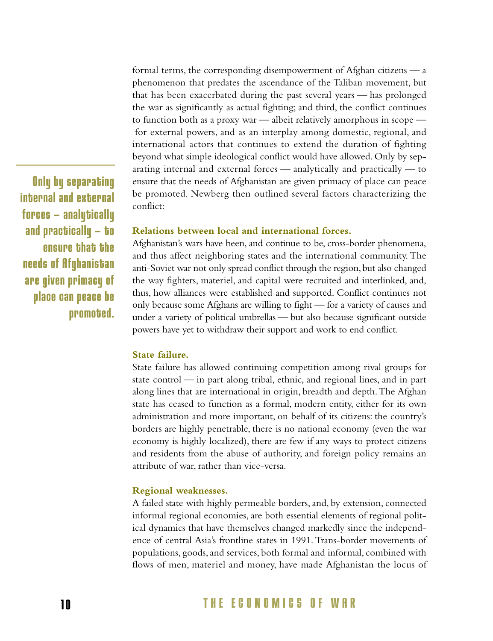formal terms, the corresponding disempowerment of Afghan citizens — a phenomenon that predates the ascendance of the Taliban movement, but that has been exacerbated during the past several years — has prolonged the war as significantly as actual fighting; and third, the conflict continues to function both as a proxy war — albeit relatively amorphous in scope for external powers, and as an interplay among domestic, regional, and international actors that continues to extend the duration of fighting beyond what simple ideological conflict would have allowed. Only by separating internal and external forces — analytically and practically — to ensure that the needs of Afghanistan are given primacy of place can peace be promoted. Newberg then outlined several factors characterizing the conflict:

#### **Relations between local and international forces.**

Afghanistan's wars have been, and continue to be, cross-border phenomena, and thus affect neighboring states and the international community. The anti-Soviet war not only spread conflict through the region, but also changed the way fighters, materiel, and capital were recruited and interlinked, and, thus, how alliances were established and supported. Conflict continues not only because some Afghans are willing to fight — for a variety of causes and under a variety of political umbrellas — but also because significant outside powers have yet to withdraw their support and work to end conflict.

#### **State failure.**

State failure has allowed continuing competition among rival groups for state control — in part along tribal, ethnic, and regional lines, and in part along lines that are international in origin, breadth and depth.The Afghan state has ceased to function as a formal, modern entity, either for its own administration and more important, on behalf of its citizens: the country's borders are highly penetrable, there is no national economy (even the war economy is highly localized), there are few if any ways to protect citizens and residents from the abuse of authority, and foreign policy remains an attribute of war, rather than vice-versa.

#### **Regional weaknesses.**

A failed state with highly permeable borders, and, by extension, connected informal regional economies, are both essential elements of regional political dynamics that have themselves changed markedly since the independence of central Asia's frontline states in 1991. Trans-border movements of populations, goods, and services, both formal and informal, combined with flows of men, materiel and money, have made Afghanistan the locus of

**Only by separating internal and external forces — analytically and practically — to ensure that the needs of Afghanistan are given primacy of place can peace be promoted.**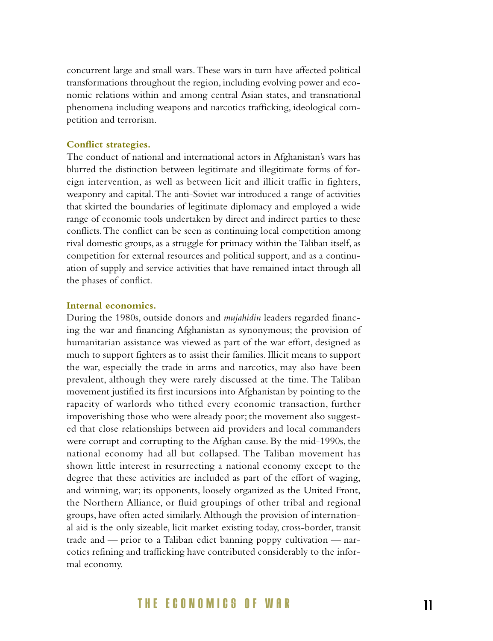concurrent large and small wars.These wars in turn have affected political transformations throughout the region, including evolving power and economic relations within and among central Asian states, and transnational phenomena including weapons and narcotics trafficking, ideological competition and terrorism.

#### **Conflict strategies.**

The conduct of national and international actors in Afghanistan's wars has blurred the distinction between legitimate and illegitimate forms of foreign intervention, as well as between licit and illicit traffic in fighters, weaponry and capital.The anti-Soviet war introduced a range of activities that skirted the boundaries of legitimate diplomacy and employed a wide range of economic tools undertaken by direct and indirect parties to these conflicts.The conflict can be seen as continuing local competition among rival domestic groups, as a struggle for primacy within the Taliban itself, as competition for external resources and political support, and as a continuation of supply and service activities that have remained intact through all the phases of conflict.

#### **Internal economics.**

During the 1980s, outside donors and *mujahidin* leaders regarded financing the war and financing Afghanistan as synonymous; the provision of humanitarian assistance was viewed as part of the war effort, designed as much to support fighters as to assist their families. Illicit means to support the war, especially the trade in arms and narcotics, may also have been prevalent, although they were rarely discussed at the time. The Taliban movement justified its first incursions into Afghanistan by pointing to the rapacity of warlords who tithed every economic transaction, further impoverishing those who were already poor; the movement also suggested that close relationships between aid providers and local commanders were corrupt and corrupting to the Afghan cause. By the mid-1990s, the national economy had all but collapsed. The Taliban movement has shown little interest in resurrecting a national economy except to the degree that these activities are included as part of the effort of waging, and winning, war; its opponents, loosely organized as the United Front, the Northern Alliance, or fluid groupings of other tribal and regional groups, have often acted similarly. Although the provision of international aid is the only sizeable, licit market existing today, cross-border, transit trade and — prior to a Taliban edict banning poppy cultivation — narcotics refining and trafficking have contributed considerably to the informal economy.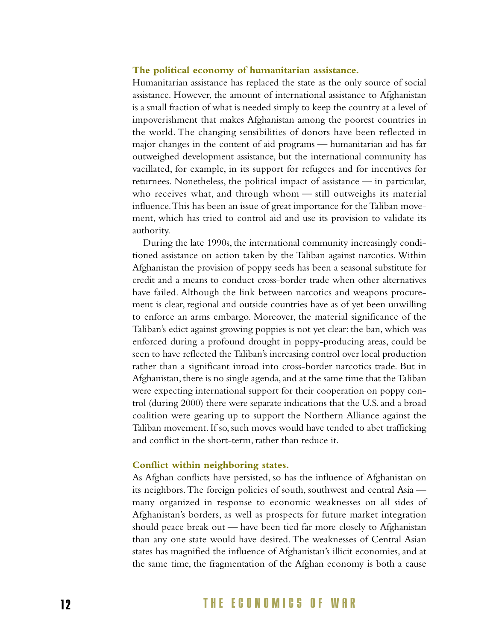#### **The political economy of humanitarian assistance.**

Humanitarian assistance has replaced the state as the only source of social assistance. However, the amount of international assistance to Afghanistan is a small fraction of what is needed simply to keep the country at a level of impoverishment that makes Afghanistan among the poorest countries in the world. The changing sensibilities of donors have been reflected in major changes in the content of aid programs — humanitarian aid has far outweighed development assistance, but the international community has vacillated, for example, in its support for refugees and for incentives for returnees. Nonetheless, the political impact of assistance — in particular, who receives what, and through whom — still outweighs its material influence.This has been an issue of great importance for the Taliban movement, which has tried to control aid and use its provision to validate its authority.

During the late 1990s, the international community increasingly conditioned assistance on action taken by the Taliban against narcotics. Within Afghanistan the provision of poppy seeds has been a seasonal substitute for credit and a means to conduct cross-border trade when other alternatives have failed. Although the link between narcotics and weapons procurement is clear, regional and outside countries have as of yet been unwilling to enforce an arms embargo. Moreover, the material significance of the Taliban's edict against growing poppies is not yet clear: the ban, which was enforced during a profound drought in poppy-producing areas, could be seen to have reflected the Taliban's increasing control over local production rather than a significant inroad into cross-border narcotics trade. But in Afghanistan, there is no single agenda, and at the same time that the Taliban were expecting international support for their cooperation on poppy control (during 2000) there were separate indications that the U.S. and a broad coalition were gearing up to support the Northern Alliance against the Taliban movement. If so, such moves would have tended to abet trafficking and conflict in the short-term, rather than reduce it.

#### **Conflict within neighboring states.**

As Afghan conflicts have persisted, so has the influence of Afghanistan on its neighbors.The foreign policies of south, southwest and central Asia many organized in response to economic weaknesses on all sides of Afghanistan's borders, as well as prospects for future market integration should peace break out — have been tied far more closely to Afghanistan than any one state would have desired. The weaknesses of Central Asian states has magnified the influence of Afghanistan's illicit economies, and at the same time, the fragmentation of the Afghan economy is both a cause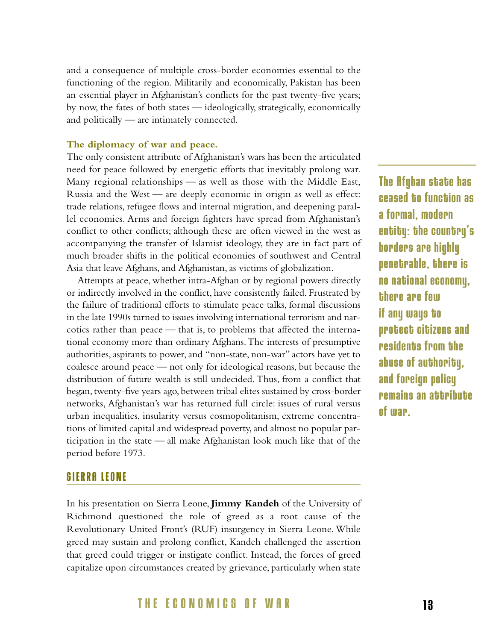and a consequence of multiple cross-border economies essential to the functioning of the region. Militarily and economically, Pakistan has been an essential player in Afghanistan's conflicts for the past twenty-five years; by now, the fates of both states — ideologically, strategically, economically and politically — are intimately connected.

#### **The diplomacy of war and peace.**

The only consistent attribute of Afghanistan's wars has been the articulated need for peace followed by energetic efforts that inevitably prolong war. Many regional relationships — as well as those with the Middle East, Russia and the West — are deeply economic in origin as well as effect: trade relations, refugee flows and internal migration, and deepening parallel economies. Arms and foreign fighters have spread from Afghanistan's conflict to other conflicts; although these are often viewed in the west as accompanying the transfer of Islamist ideology, they are in fact part of much broader shifts in the political economies of southwest and Central Asia that leave Afghans, and Afghanistan, as victims of globalization.

Attempts at peace, whether intra-Afghan or by regional powers directly or indirectly involved in the conflict, have consistently failed. Frustrated by the failure of traditional efforts to stimulate peace talks, formal discussions in the late 1990s turned to issues involving international terrorism and narcotics rather than peace — that is, to problems that affected the international economy more than ordinary Afghans.The interests of presumptive authorities, aspirants to power, and "non-state, non-war" actors have yet to coalesce around peace — not only for ideological reasons, but because the distribution of future wealth is still undecided. Thus, from a conflict that began, twenty-five years ago, between tribal elites sustained by cross-border networks, Afghanistan's war has returned full circle: issues of rural versus urban inequalities, insularity versus cosmopolitanism, extreme concentrations of limited capital and widespread poverty, and almost no popular participation in the state — all make Afghanistan look much like that of the period before 1973.

### **The Afghan state has ceased to function as a formal, modern entity: the country's borders are highly penetrable, there is no national economy, there are few if any ways to protect citizens and residents from the abuse of authority, and foreign policy remains an attribute of war.**

### **SIERRA LEONE**

In his presentation on Sierra Leone, **Jimmy Kandeh** of the University of Richmond questioned the role of greed as a root cause of the Revolutionary United Front's (RUF) insurgency in Sierra Leone. While greed may sustain and prolong conflict, Kandeh challenged the assertion that greed could trigger or instigate conflict. Instead, the forces of greed capitalize upon circumstances created by grievance, particularly when state

### **THE ECONOMICS OF WAR 1 3**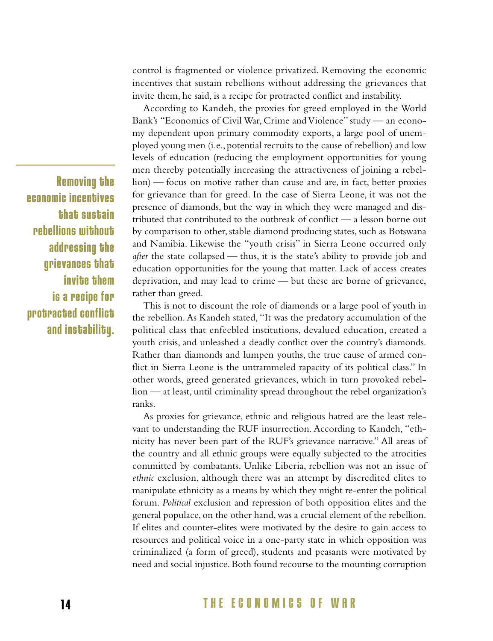control is fragmented or violence privatized. Removing the economic incentives that sustain rebellions without addressing the grievances that invite them, he said, is a recipe for protracted conflict and instability.

According to Kandeh, the proxies for greed employed in the World Bank's "Economics of Civil War, Crime and Violence" study — an economy dependent upon primary commodity exports, a large pool of unemployed young men (i.e., potential recruits to the cause of rebellion) and low levels of education (reducing the employment opportunities for young men thereby potentially increasing the attractiveness of joining a rebellion) — focus on motive rather than cause and are, in fact, better proxies for grievance than for greed. In the case of Sierra Leone, it was not the presence of diamonds, but the way in which they were managed and distributed that contributed to the outbreak of conflict — a lesson borne out by comparison to other, stable diamond producing states, such as Botswana and Namibia. Likewise the "youth crisis" in Sierra Leone occurred only *after* the state collapsed — thus, it is the state's ability to provide job and education opportunities for the young that matter. Lack of access creates deprivation, and may lead to crime — but these are borne of grievance, rather than greed.

This is not to discount the role of diamonds or a large pool of youth in the rebellion. As Kandeh stated, "It was the predatory accumulation of the political class that enfeebled institutions, devalued education, created a youth crisis, and unleashed a deadly conflict over the country's diamonds. Rather than diamonds and lumpen youths, the true cause of armed conflict in Sierra Leone is the untrammeled rapacity of its political class." In other words, greed generated grievances, which in turn provoked rebellion — at least, until criminality spread throughout the rebel organization's ranks.

vant to understanding the RUF insurrection. According to Kandeh, "ethnicity has never been part of the RUF's grievance narrative." All areas of the country and all ethnic groups were equally subjected to the atrocities committed by combatants. Unlike Liberia, rebellion was not an issue of *ethnic* exclusion, although there was an attempt by discredited elites to manipulate ethnicity as a means by which they might re-enter the political forum. *Political* exclusion and repression of both opposition elites and the general populace, on the other hand, was a crucial element of the rebellion. If elites and counter-elites were motivated by the desire to gain access to resources and political voice in a one-party state in which opposition was criminalized (a form of greed), students and peasants were motivated by need and social injustice. Both found recourse to the mounting corruption

As proxies for grievance, ethnic and religious hatred are the least rele-

**Removing the economic incentives that sustain rebellions without addressing the grievances that invite them is a recipe for protracted conflict and instability.**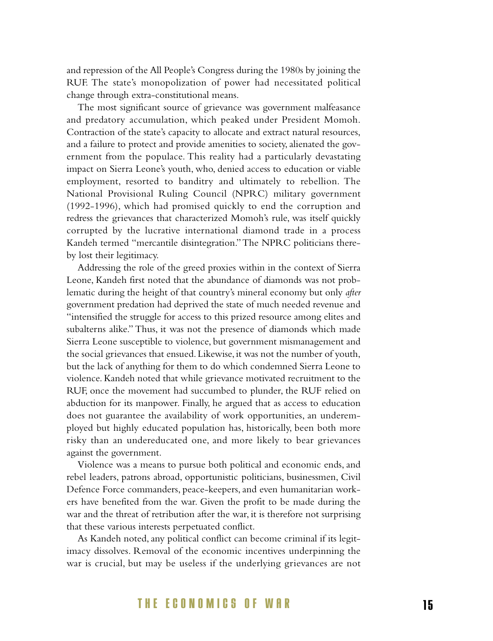and repression of the All People's Congress during the 1980s by joining the RUF. The state's monopolization of power had necessitated political change through extra-constitutional means.

The most significant source of grievance was government malfeasance and predatory accumulation, which peaked under President Momoh. Contraction of the state's capacity to allocate and extract natural resources, and a failure to protect and provide amenities to society, alienated the government from the populace. This reality had a particularly devastating impact on Sierra Leone's youth, who, denied access to education or viable employment, resorted to banditry and ultimately to rebellion. The National Provisional Ruling Council (NPRC) military government (1992-1996), which had promised quickly to end the corruption and redress the grievances that characterized Momoh's rule, was itself quickly corrupted by the lucrative international diamond trade in a process Kandeh termed "mercantile disintegration."The NPRC politicians thereby lost their legitimacy.

Addressing the role of the greed proxies within in the context of Sierra Leone, Kandeh first noted that the abundance of diamonds was not problematic during the height of that country's mineral economy but only *after* government predation had deprived the state of much needed revenue and "intensified the struggle for access to this prized resource among elites and subalterns alike." Thus, it was not the presence of diamonds which made Sierra Leone susceptible to violence, but government mismanagement and the social grievances that ensued. Likewise, it was not the number of youth, but the lack of anything for them to do which condemned Sierra Leone to violence. Kandeh noted that while grievance motivated recruitment to the RUF, once the movement had succumbed to plunder, the RUF relied on abduction for its manpower. Finally, he argued that as access to education does not guarantee the availability of work opportunities, an underemployed but highly educated population has, historically, been both more risky than an undereducated one, and more likely to bear grievances against the government.

Violence was a means to pursue both political and economic ends, and rebel leaders, patrons abroad, opportunistic politicians, businessmen, Civil Defence Force commanders, peace-keepers, and even humanitarian workers have benefited from the war. Given the profit to be made during the war and the threat of retribution after the war, it is therefore not surprising that these various interests perpetuated conflict.

As Kandeh noted, any political conflict can become criminal if its legitimacy dissolves. Removal of the economic incentives underpinning the war is crucial, but may be useless if the underlying grievances are not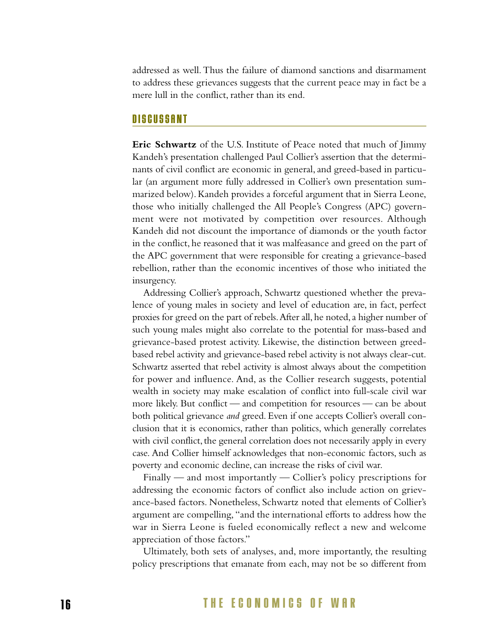addressed as well.Thus the failure of diamond sanctions and disarmament to address these grievances suggests that the current peace may in fact be a mere lull in the conflict, rather than its end.

#### **DISCUSSANT**

**Eric Schwartz** of the U.S. Institute of Peace noted that much of Jimmy Kandeh's presentation challenged Paul Collier's assertion that the determinants of civil conflict are economic in general, and greed-based in particular (an argument more fully addressed in Collier's own presentation summarized below). Kandeh provides a forceful argument that in Sierra Leone, those who initially challenged the All People's Congress (APC) government were not motivated by competition over resources. Although Kandeh did not discount the importance of diamonds or the youth factor in the conflict, he reasoned that it was malfeasance and greed on the part of the APC government that were responsible for creating a grievance-based rebellion, rather than the economic incentives of those who initiated the insurgency.

Addressing Collier's approach, Schwartz questioned whether the prevalence of young males in society and level of education are, in fact, perfect proxies for greed on the part of rebels.After all,he noted,a higher number of such young males might also correlate to the potential for mass-based and grievance-based protest activity. Likewise, the distinction between greedbased rebel activity and grievance-based rebel activity is not always clear-cut. Schwartz asserted that rebel activity is almost always about the competition for power and influence. And, as the Collier research suggests, potential wealth in society may make escalation of conflict into full-scale civil war more likely. But conflict — and competition for resources — can be about both political grievance *and* greed. Even if one accepts Collier's overall conclusion that it is economics, rather than politics, which generally correlates with civil conflict, the general correlation does not necessarily apply in every case. And Collier himself acknowledges that non-economic factors, such as poverty and economic decline, can increase the risks of civil war.

Finally — and most importantly — Collier's policy prescriptions for addressing the economic factors of conflict also include action on grievance-based factors. Nonetheless, Schwartz noted that elements of Collier's argument are compelling, "and the international efforts to address how the war in Sierra Leone is fueled economically reflect a new and welcome appreciation of those factors."

Ultimately, both sets of analyses, and, more importantly, the resulting policy prescriptions that emanate from each, may not be so different from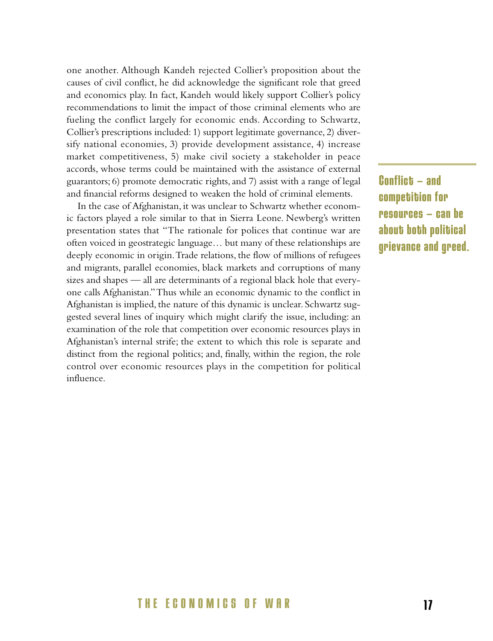one another. Although Kandeh rejected Collier's proposition about the causes of civil conflict, he did acknowledge the significant role that greed and economics play. In fact, Kandeh would likely support Collier's policy recommendations to limit the impact of those criminal elements who are fueling the conflict largely for economic ends. According to Schwartz, Collier's prescriptions included: 1) support legitimate governance, 2) diversify national economies, 3) provide development assistance, 4) increase market competitiveness, 5) make civil society a stakeholder in peace accords, whose terms could be maintained with the assistance of external guarantors; 6) promote democratic rights, and 7) assist with a range of legal and financial reforms designed to weaken the hold of criminal elements.

In the case of Afghanistan, it was unclear to Schwartz whether economic factors played a role similar to that in Sierra Leone. Newberg's written presentation states that "The rationale for polices that continue war are often voiced in geostrategic language… but many of these relationships are deeply economic in origin.Trade relations, the flow of millions of refugees and migrants, parallel economies, black markets and corruptions of many sizes and shapes — all are determinants of a regional black hole that everyone calls Afghanistan."Thus while an economic dynamic to the conflict in Afghanistan is implied, the nature of this dynamic is unclear. Schwartz suggested several lines of inquiry which might clarify the issue, including: an examination of the role that competition over economic resources plays in Afghanistan's internal strife; the extent to which this role is separate and distinct from the regional politics; and, finally, within the region, the role control over economic resources plays in the competition for political influence.

**Conflict — and competition for resources — can be about both political grievance and greed.**

### **THE ECONOMICS OF WAR 1 7**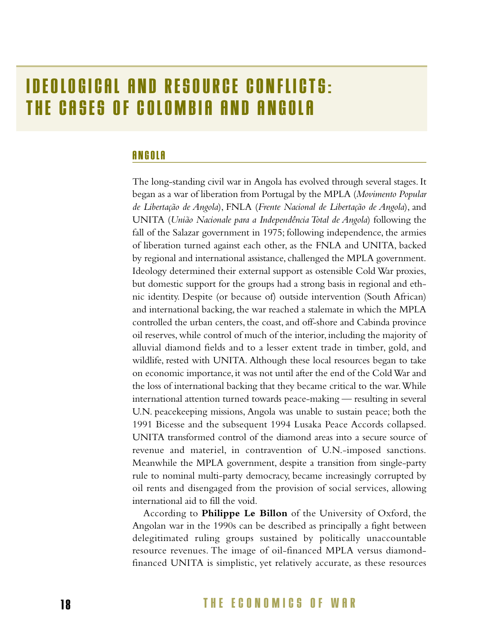## **IDEOLOGICAL AND RESOURCE CONFLICTS: THE CASES OF COLOMBIA AND ANGOLA**

### **ANGOLA**

The long-standing civil war in Angola has evolved through several stages. It began as a war of liberation from Portugal by the MPLA (*Movimento Popular de Libertação de Angola*), FNLA (*Frente Nacional de Libertação de Angola*), and UNITA (*União Nacionale para a Independência Total de Angola*) following the fall of the Salazar government in 1975; following independence, the armies of liberation turned against each other, as the FNLA and UNITA, backed by regional and international assistance, challenged the MPLA government. Ideology determined their external support as ostensible Cold War proxies, but domestic support for the groups had a strong basis in regional and ethnic identity. Despite (or because of) outside intervention (South African) and international backing, the war reached a stalemate in which the MPLA controlled the urban centers, the coast, and off-shore and Cabinda province oil reserves, while control of much of the interior, including the majority of alluvial diamond fields and to a lesser extent trade in timber, gold, and wildlife, rested with UNITA. Although these local resources began to take on economic importance, it was not until after the end of the Cold War and the loss of international backing that they became critical to the war.While international attention turned towards peace-making — resulting in several U.N. peacekeeping missions, Angola was unable to sustain peace; both the 1991 Bicesse and the subsequent 1994 Lusaka Peace Accords collapsed. UNITA transformed control of the diamond areas into a secure source of revenue and materiel, in contravention of U.N.-imposed sanctions. Meanwhile the MPLA government, despite a transition from single-party rule to nominal multi-party democracy, became increasingly corrupted by oil rents and disengaged from the provision of social services, allowing international aid to fill the void.

According to **Philippe Le Billon** of the University of Oxford, the Angolan war in the 1990s can be described as principally a fight between delegitimated ruling groups sustained by politically unaccountable resource revenues. The image of oil-financed MPLA versus diamondfinanced UNITA is simplistic, yet relatively accurate, as these resources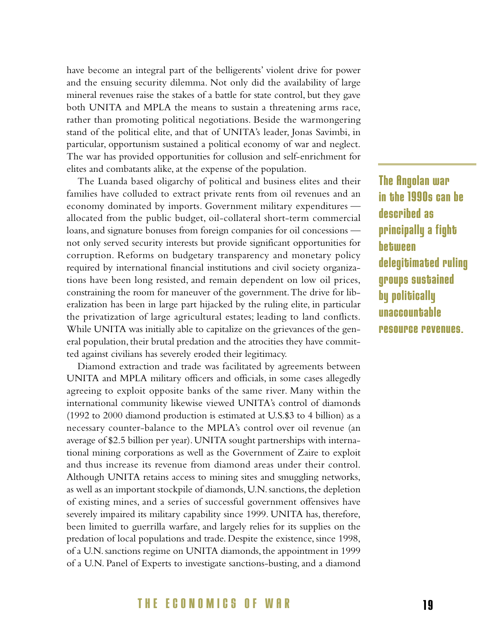have become an integral part of the belligerents' violent drive for power and the ensuing security dilemma. Not only did the availability of large mineral revenues raise the stakes of a battle for state control, but they gave both UNITA and MPLA the means to sustain a threatening arms race, rather than promoting political negotiations. Beside the warmongering stand of the political elite, and that of UNITA's leader, Jonas Savimbi, in particular, opportunism sustained a political economy of war and neglect. The war has provided opportunities for collusion and self-enrichment for elites and combatants alike, at the expense of the population.

The Luanda based oligarchy of political and business elites and their families have colluded to extract private rents from oil revenues and an economy dominated by imports. Government military expenditures allocated from the public budget, oil-collateral short-term commercial loans, and signature bonuses from foreign companies for oil concessions not only served security interests but provide significant opportunities for corruption. Reforms on budgetary transparency and monetary policy required by international financial institutions and civil society organizations have been long resisted, and remain dependent on low oil prices, constraining the room for maneuver of the government.The drive for liberalization has been in large part hijacked by the ruling elite, in particular the privatization of large agricultural estates; leading to land conflicts. While UNITA was initially able to capitalize on the grievances of the general population, their brutal predation and the atrocities they have committed against civilians has severely eroded their legitimacy.

Diamond extraction and trade was facilitated by agreements between UNITA and MPLA military officers and officials, in some cases allegedly agreeing to exploit opposite banks of the same river. Many within the international community likewise viewed UNITA's control of diamonds (1992 to 2000 diamond production is estimated at U.S.\$3 to 4 billion) as a necessary counter-balance to the MPLA's control over oil revenue (an average of \$2.5 billion per year). UNITA sought partnerships with international mining corporations as well as the Government of Zaire to exploit and thus increase its revenue from diamond areas under their control. Although UNITA retains access to mining sites and smuggling networks, as well as an important stockpile of diamonds, U.N. sanctions, the depletion of existing mines, and a series of successful government offensives have severely impaired its military capability since 1999. UNITA has, therefore, been limited to guerrilla warfare, and largely relies for its supplies on the predation of local populations and trade. Despite the existence, since 1998, of a U.N. sanctions regime on UNITA diamonds, the appointment in 1999 of a U.N. Panel of Experts to investigate sanctions-busting, and a diamond **The Angolan war in the 1990s can be described as principally a fight between delegitimated ruling groups sustained by politically unaccountable resource revenues.** 

### **THE ECONOMICS OF WAR 1 9**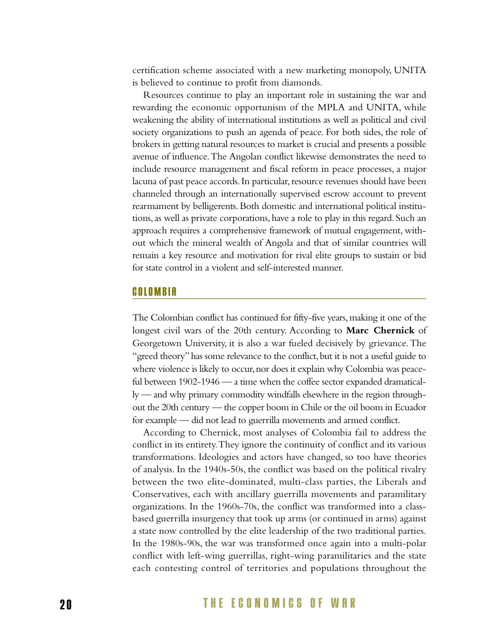certification scheme associated with a new marketing monopoly, UNITA is believed to continue to profit from diamonds.

Resources continue to play an important role in sustaining the war and rewarding the economic opportunism of the MPLA and UNITA, while weakening the ability of international institutions as well as political and civil society organizations to push an agenda of peace. For both sides, the role of brokers in getting natural resources to market is crucial and presents a possible avenue of influence.The Angolan conflict likewise demonstrates the need to include resource management and fiscal reform in peace processes, a major lacuna of past peace accords. In particular, resource revenues should have been channeled through an internationally supervised escrow account to prevent rearmament by belligerents. Both domestic and international political institutions, as well as private corporations, have a role to play in this regard. Such an approach requires a comprehensive framework of mutual engagement, without which the mineral wealth of Angola and that of similar countries will remain a key resource and motivation for rival elite groups to sustain or bid for state control in a violent and self-interested manner.

### **COLOMBIA**

The Colombian conflict has continued for fifty-five years,making it one of the longest civil wars of the 20th century. According to **Marc Chernick** of Georgetown University, it is also a war fueled decisively by grievance. The "greed theory" has some relevance to the conflict, but it is not a useful guide to where violence is likely to occur, nor does it explain why Colombia was peaceful between 1902-1946 — a time when the coffee sector expanded dramatically — and why primary commodity windfalls elsewhere in the region throughout the 20th century — the copper boom in Chile or the oil boom in Ecuador for example — did not lead to guerrilla movements and armed conflict.

According to Chernick, most analyses of Colombia fail to address the conflict in its entirety.They ignore the continuity of conflict and its various transformations. Ideologies and actors have changed, so too have theories of analysis. In the 1940s-50s, the conflict was based on the political rivalry between the two elite-dominated, multi-class parties, the Liberals and Conservatives, each with ancillary guerrilla movements and paramilitary organizations. In the 1960s-70s, the conflict was transformed into a classbased guerrilla insurgency that took up arms (or continued in arms) against a state now controlled by the elite leadership of the two traditional parties. In the 1980s-90s, the war was transformed once again into a multi-polar conflict with left-wing guerrillas, right-wing paramilitaries and the state each contesting control of territories and populations throughout the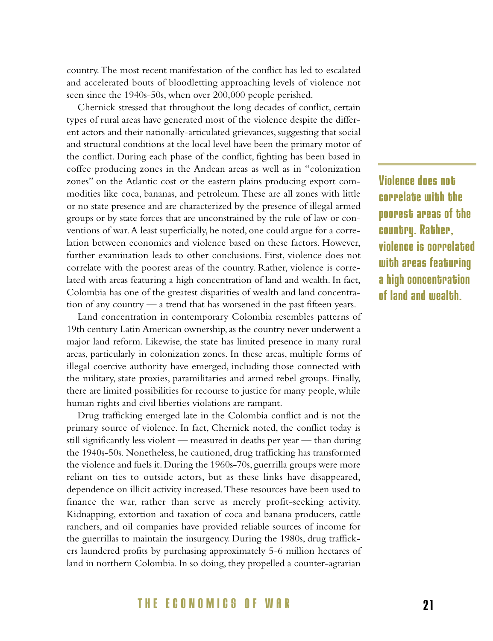country.The most recent manifestation of the conflict has led to escalated and accelerated bouts of bloodletting approaching levels of violence not seen since the 1940s-50s, when over 200,000 people perished.

Chernick stressed that throughout the long decades of conflict, certain types of rural areas have generated most of the violence despite the different actors and their nationally-articulated grievances, suggesting that social and structural conditions at the local level have been the primary motor of the conflict. During each phase of the conflict, fighting has been based in coffee producing zones in the Andean areas as well as in "colonization zones" on the Atlantic cost or the eastern plains producing export commodities like coca, bananas, and petroleum. These are all zones with little or no state presence and are characterized by the presence of illegal armed groups or by state forces that are unconstrained by the rule of law or conventions of war.A least superficially, he noted, one could argue for a correlation between economics and violence based on these factors. However, further examination leads to other conclusions. First, violence does not correlate with the poorest areas of the country. Rather, violence is correlated with areas featuring a high concentration of land and wealth. In fact, Colombia has one of the greatest disparities of wealth and land concentration of any country — a trend that has worsened in the past fifteen years.

Land concentration in contemporary Colombia resembles patterns of 19th century Latin American ownership, as the country never underwent a major land reform. Likewise, the state has limited presence in many rural areas, particularly in colonization zones. In these areas, multiple forms of illegal coercive authority have emerged, including those connected with the military, state proxies, paramilitaries and armed rebel groups. Finally, there are limited possibilities for recourse to justice for many people, while human rights and civil liberties violations are rampant.

Drug trafficking emerged late in the Colombia conflict and is not the primary source of violence. In fact, Chernick noted, the conflict today is still significantly less violent — measured in deaths per year — than during the 1940s-50s. Nonetheless, he cautioned, drug trafficking has transformed the violence and fuels it. During the 1960s-70s, guerrilla groups were more reliant on ties to outside actors, but as these links have disappeared, dependence on illicit activity increased.These resources have been used to finance the war, rather than serve as merely profit-seeking activity. Kidnapping, extortion and taxation of coca and banana producers, cattle ranchers, and oil companies have provided reliable sources of income for the guerrillas to maintain the insurgency. During the 1980s, drug traffickers laundered profits by purchasing approximately 5-6 million hectares of land in northern Colombia. In so doing, they propelled a counter-agrarian

**Violence does not correlate with the poorest areas of the country. Rather, violence is correlated with areas featuring a high concentration of land and wealth.**

### **THE ECONOMICS OF WAR 2 1**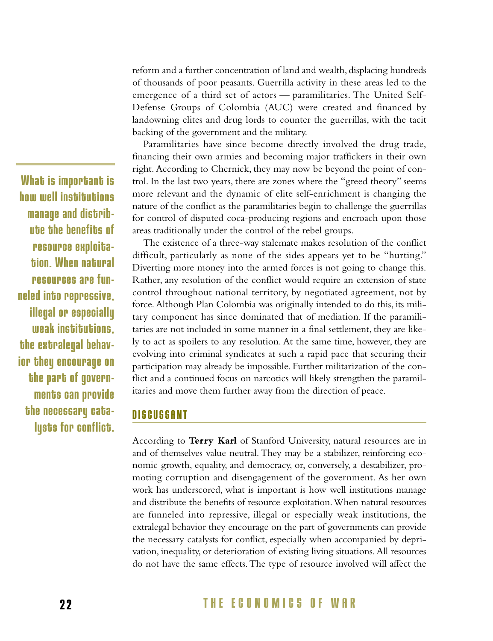reform and a further concentration of land and wealth, displacing hundreds of thousands of poor peasants. Guerrilla activity in these areas led to the emergence of a third set of actors — paramilitaries. The United Self-Defense Groups of Colombia (AUC) were created and financed by landowning elites and drug lords to counter the guerrillas, with the tacit backing of the government and the military.

Paramilitaries have since become directly involved the drug trade, financing their own armies and becoming major traffickers in their own right. According to Chernick, they may now be beyond the point of control. In the last two years, there are zones where the "greed theory" seems more relevant and the dynamic of elite self-enrichment is changing the nature of the conflict as the paramilitaries begin to challenge the guerrillas for control of disputed coca-producing regions and encroach upon those areas traditionally under the control of the rebel groups.

The existence of a three-way stalemate makes resolution of the conflict difficult, particularly as none of the sides appears yet to be "hurting." Diverting more money into the armed forces is not going to change this. Rather, any resolution of the conflict would require an extension of state control throughout national territory, by negotiated agreement, not by force.Although Plan Colombia was originally intended to do this, its military component has since dominated that of mediation. If the paramilitaries are not included in some manner in a final settlement, they are likely to act as spoilers to any resolution. At the same time, however, they are evolving into criminal syndicates at such a rapid pace that securing their participation may already be impossible. Further militarization of the conflict and a continued focus on narcotics will likely strengthen the paramilitaries and move them further away from the direction of peace.

### **DISCUSSANT**

According to **Terry Karl** of Stanford University, natural resources are in and of themselves value neutral. They may be a stabilizer, reinforcing economic growth, equality, and democracy, or, conversely, a destabilizer, promoting corruption and disengagement of the government. As her own work has underscored, what is important is how well institutions manage and distribute the benefits of resource exploitation.When natural resources are funneled into repressive, illegal or especially weak institutions, the extralegal behavior they encourage on the part of governments can provide the necessary catalysts for conflict, especially when accompanied by deprivation, inequality, or deterioration of existing living situations. All resources do not have the same effects. The type of resource involved will affect the

**What is important is how well institutions manage and distribute the benefits of resource exploitation. When natural resources are funneled into repressive, illegal or especially weak institutions, the extralegal behavior they encourage on the part of governments can provide the necessary catalysts for conflict.**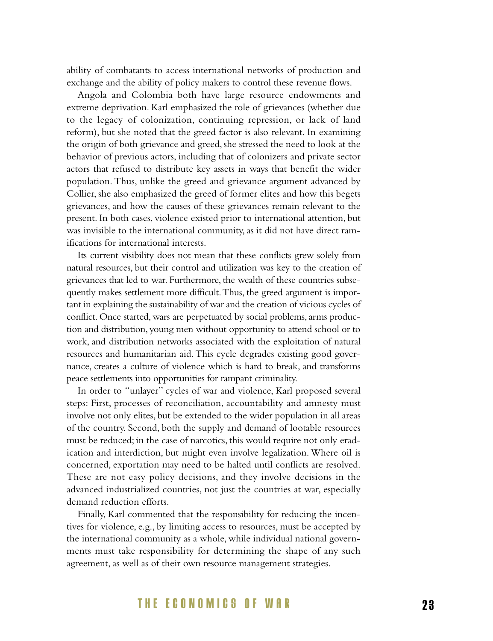ability of combatants to access international networks of production and exchange and the ability of policy makers to control these revenue flows.

Angola and Colombia both have large resource endowments and extreme deprivation. Karl emphasized the role of grievances (whether due to the legacy of colonization, continuing repression, or lack of land reform), but she noted that the greed factor is also relevant. In examining the origin of both grievance and greed, she stressed the need to look at the behavior of previous actors, including that of colonizers and private sector actors that refused to distribute key assets in ways that benefit the wider population. Thus, unlike the greed and grievance argument advanced by Collier, she also emphasized the greed of former elites and how this begets grievances, and how the causes of these grievances remain relevant to the present. In both cases, violence existed prior to international attention, but was invisible to the international community, as it did not have direct ramifications for international interests.

Its current visibility does not mean that these conflicts grew solely from natural resources, but their control and utilization was key to the creation of grievances that led to war. Furthermore, the wealth of these countries subsequently makes settlement more difficult.Thus, the greed argument is important in explaining the sustainability of war and the creation of vicious cycles of conflict. Once started, wars are perpetuated by social problems, arms production and distribution, young men without opportunity to attend school or to work, and distribution networks associated with the exploitation of natural resources and humanitarian aid. This cycle degrades existing good governance, creates a culture of violence which is hard to break, and transforms peace settlements into opportunities for rampant criminality.

In order to "unlayer" cycles of war and violence, Karl proposed several steps: First, processes of reconciliation, accountability and amnesty must involve not only elites, but be extended to the wider population in all areas of the country. Second, both the supply and demand of lootable resources must be reduced; in the case of narcotics, this would require not only eradication and interdiction, but might even involve legalization. Where oil is concerned, exportation may need to be halted until conflicts are resolved. These are not easy policy decisions, and they involve decisions in the advanced industrialized countries, not just the countries at war, especially demand reduction efforts.

Finally, Karl commented that the responsibility for reducing the incentives for violence, e.g., by limiting access to resources, must be accepted by the international community as a whole, while individual national governments must take responsibility for determining the shape of any such agreement, as well as of their own resource management strategies.

### **THE ECONOMICS OF WAR 2 3**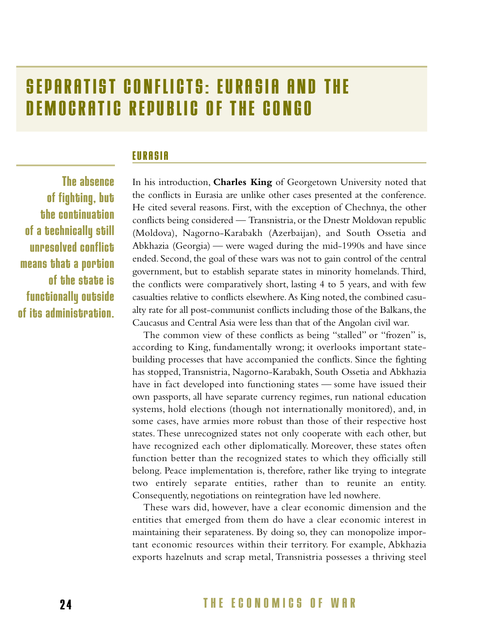## **SEPARATIST CONFLICTS: EURASIA AND THE DEMOCRATIC REPUBLIC OF THE CONGO**

### **EURASIA**

**The absence of fighting, but the continuation of a technically still unresolved conflict means that a portion of the state is functionally outside of its administration.** 

In his introduction, **Charles King** of Georgetown University noted that the conflicts in Eurasia are unlike other cases presented at the conference. He cited several reasons. First, with the exception of Chechnya, the other conflicts being considered — Transnistria, or the Dnestr Moldovan republic (Moldova), Nagorno-Karabakh (Azerbaijan), and South Ossetia and Abkhazia (Georgia) — were waged during the mid-1990s and have since ended. Second, the goal of these wars was not to gain control of the central government, but to establish separate states in minority homelands. Third, the conflicts were comparatively short, lasting 4 to 5 years, and with few casualties relative to conflicts elsewhere.As King noted, the combined casualty rate for all post-communist conflicts including those of the Balkans, the Caucasus and Central Asia were less than that of the Angolan civil war.

The common view of these conflicts as being "stalled" or "frozen" is, according to King, fundamentally wrong; it overlooks important statebuilding processes that have accompanied the conflicts. Since the fighting has stopped,Transnistria, Nagorno-Karabakh, South Ossetia and Abkhazia have in fact developed into functioning states — some have issued their own passports, all have separate currency regimes, run national education systems, hold elections (though not internationally monitored), and, in some cases, have armies more robust than those of their respective host states. These unrecognized states not only cooperate with each other, but have recognized each other diplomatically. Moreover, these states often function better than the recognized states to which they officially still belong. Peace implementation is, therefore, rather like trying to integrate two entirely separate entities, rather than to reunite an entity. Consequently, negotiations on reintegration have led nowhere.

These wars did, however, have a clear economic dimension and the entities that emerged from them do have a clear economic interest in maintaining their separateness. By doing so, they can monopolize important economic resources within their territory. For example, Abkhazia exports hazelnuts and scrap metal, Transnistria possesses a thriving steel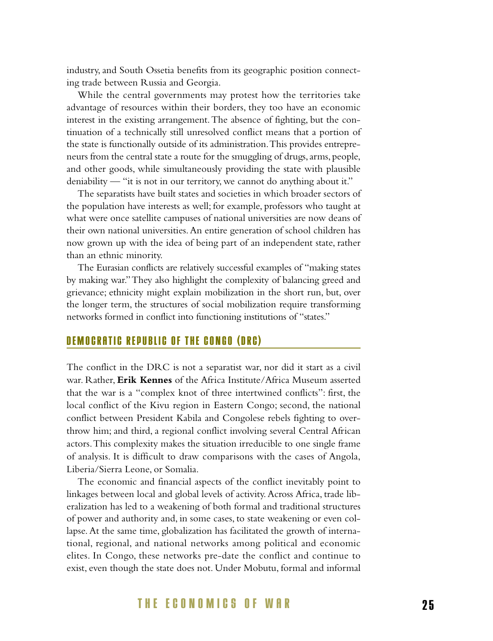industry, and South Ossetia benefits from its geographic position connecting trade between Russia and Georgia.

While the central governments may protest how the territories take advantage of resources within their borders, they too have an economic interest in the existing arrangement.The absence of fighting, but the continuation of a technically still unresolved conflict means that a portion of the state is functionally outside of its administration.This provides entrepreneurs from the central state a route for the smuggling of drugs, arms, people, and other goods, while simultaneously providing the state with plausible deniability — "it is not in our territory, we cannot do anything about it."

The separatists have built states and societies in which broader sectors of the population have interests as well; for example, professors who taught at what were once satellite campuses of national universities are now deans of their own national universities.An entire generation of school children has now grown up with the idea of being part of an independent state, rather than an ethnic minority.

The Eurasian conflicts are relatively successful examples of "making states by making war."They also highlight the complexity of balancing greed and grievance; ethnicity might explain mobilization in the short run, but, over the longer term, the structures of social mobilization require transforming networks formed in conflict into functioning institutions of "states."

### **DEMOCRATIC REPUBLIC OF THE CONGO (DRC)**

The conflict in the DRC is not a separatist war, nor did it start as a civil war. Rather, **Erik Kennes** of the Africa Institute/Africa Museum asserted that the war is a "complex knot of three intertwined conflicts": first, the local conflict of the Kivu region in Eastern Congo; second, the national conflict between President Kabila and Congolese rebels fighting to overthrow him; and third, a regional conflict involving several Central African actors.This complexity makes the situation irreducible to one single frame of analysis. It is difficult to draw comparisons with the cases of Angola, Liberia/Sierra Leone, or Somalia.

The economic and financial aspects of the conflict inevitably point to linkages between local and global levels of activity. Across Africa, trade liberalization has led to a weakening of both formal and traditional structures of power and authority and, in some cases, to state weakening or even collapse. At the same time, globalization has facilitated the growth of international, regional, and national networks among political and economic elites. In Congo, these networks pre-date the conflict and continue to exist, even though the state does not. Under Mobutu, formal and informal

### **THE ECONOMICS OF WAR 2 5**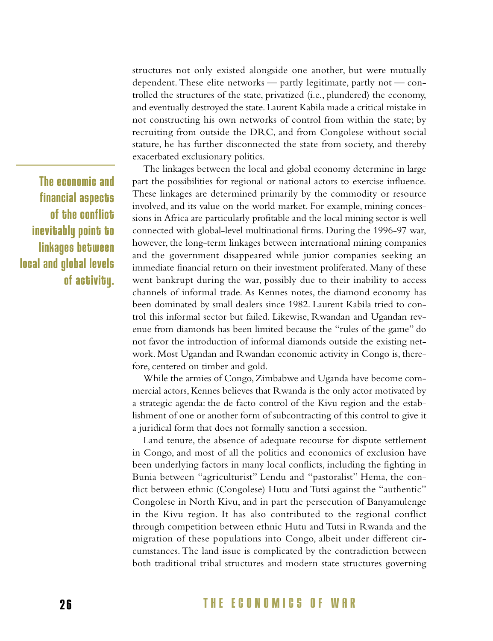**The economic and financial aspects of the conflict inevitably point to linkages between local and global levels of activity.** structures not only existed alongside one another, but were mutually dependent. These elite networks — partly legitimate, partly not — controlled the structures of the state, privatized (i.e., plundered) the economy, and eventually destroyed the state. Laurent Kabila made a critical mistake in not constructing his own networks of control from within the state; by recruiting from outside the DRC, and from Congolese without social stature, he has further disconnected the state from society, and thereby exacerbated exclusionary politics.

The linkages between the local and global economy determine in large part the possibilities for regional or national actors to exercise influence. These linkages are determined primarily by the commodity or resource involved, and its value on the world market. For example, mining concessions in Africa are particularly profitable and the local mining sector is well connected with global-level multinational firms. During the 1996-97 war, however, the long-term linkages between international mining companies and the government disappeared while junior companies seeking an immediate financial return on their investment proliferated. Many of these went bankrupt during the war, possibly due to their inability to access channels of informal trade. As Kennes notes, the diamond economy has been dominated by small dealers since 1982. Laurent Kabila tried to control this informal sector but failed. Likewise, Rwandan and Ugandan revenue from diamonds has been limited because the "rules of the game" do not favor the introduction of informal diamonds outside the existing network. Most Ugandan and Rwandan economic activity in Congo is, therefore, centered on timber and gold.

While the armies of Congo, Zimbabwe and Uganda have become commercial actors, Kennes believes that Rwanda is the only actor motivated by a strategic agenda: the de facto control of the Kivu region and the establishment of one or another form of subcontracting of this control to give it a juridical form that does not formally sanction a secession.

Land tenure, the absence of adequate recourse for dispute settlement in Congo, and most of all the politics and economics of exclusion have been underlying factors in many local conflicts, including the fighting in Bunia between "agriculturist" Lendu and "pastoralist" Hema, the conflict between ethnic (Congolese) Hutu and Tutsi against the "authentic" Congolese in North Kivu, and in part the persecution of Banyamulenge in the Kivu region. It has also contributed to the regional conflict through competition between ethnic Hutu and Tutsi in Rwanda and the migration of these populations into Congo, albeit under different circumstances. The land issue is complicated by the contradiction between both traditional tribal structures and modern state structures governing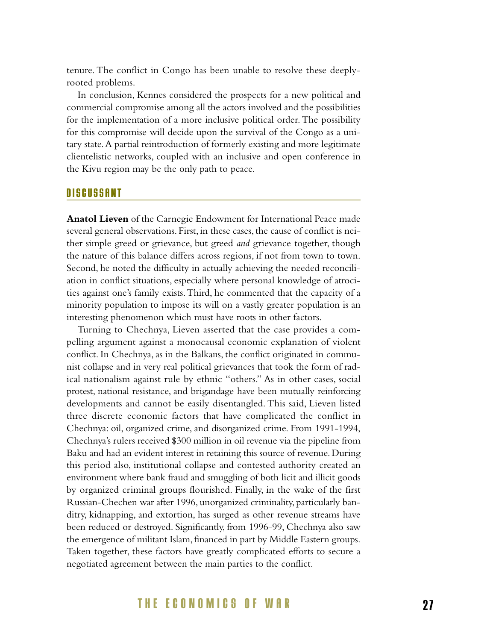tenure. The conflict in Congo has been unable to resolve these deeplyrooted problems.

In conclusion, Kennes considered the prospects for a new political and commercial compromise among all the actors involved and the possibilities for the implementation of a more inclusive political order. The possibility for this compromise will decide upon the survival of the Congo as a unitary state.A partial reintroduction of formerly existing and more legitimate clientelistic networks, coupled with an inclusive and open conference in the Kivu region may be the only path to peace.

### **DISCUSSANT**

**Anatol Lieven** of the Carnegie Endowment for International Peace made several general observations. First, in these cases, the cause of conflict is neither simple greed or grievance, but greed *and* grievance together, though the nature of this balance differs across regions, if not from town to town. Second, he noted the difficulty in actually achieving the needed reconciliation in conflict situations, especially where personal knowledge of atrocities against one's family exists.Third, he commented that the capacity of a minority population to impose its will on a vastly greater population is an interesting phenomenon which must have roots in other factors.

Turning to Chechnya, Lieven asserted that the case provides a compelling argument against a monocausal economic explanation of violent conflict. In Chechnya, as in the Balkans, the conflict originated in communist collapse and in very real political grievances that took the form of radical nationalism against rule by ethnic "others." As in other cases, social protest, national resistance, and brigandage have been mutually reinforcing developments and cannot be easily disentangled. This said, Lieven listed three discrete economic factors that have complicated the conflict in Chechnya: oil, organized crime, and disorganized crime. From 1991-1994, Chechnya's rulers received \$300 million in oil revenue via the pipeline from Baku and had an evident interest in retaining this source of revenue. During this period also, institutional collapse and contested authority created an environment where bank fraud and smuggling of both licit and illicit goods by organized criminal groups flourished. Finally, in the wake of the first Russian-Chechen war after 1996, unorganized criminality, particularly banditry, kidnapping, and extortion, has surged as other revenue streams have been reduced or destroyed. Significantly, from 1996-99, Chechnya also saw the emergence of militant Islam, financed in part by Middle Eastern groups. Taken together, these factors have greatly complicated efforts to secure a negotiated agreement between the main parties to the conflict.

### **THE ECONOMICS OF WAR 2 7**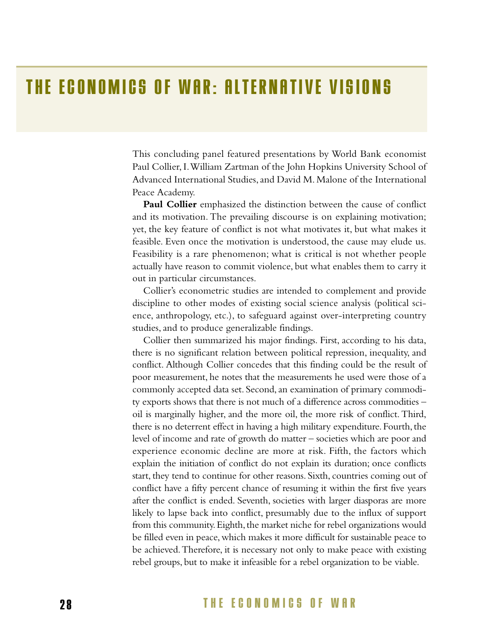## **THE ECONOMICS OF WAR: ALTERNATIVE VISIONS**

This concluding panel featured presentations by World Bank economist Paul Collier, I.William Zartman of the John Hopkins University School of Advanced International Studies, and David M. Malone of the International Peace Academy.

**Paul Collier** emphasized the distinction between the cause of conflict and its motivation. The prevailing discourse is on explaining motivation; yet, the key feature of conflict is not what motivates it, but what makes it feasible. Even once the motivation is understood, the cause may elude us. Feasibility is a rare phenomenon; what is critical is not whether people actually have reason to commit violence, but what enables them to carry it out in particular circumstances.

Collier's econometric studies are intended to complement and provide discipline to other modes of existing social science analysis (political science, anthropology, etc.), to safeguard against over-interpreting country studies, and to produce generalizable findings.

Collier then summarized his major findings. First, according to his data, there is no significant relation between political repression, inequality, and conflict. Although Collier concedes that this finding could be the result of poor measurement, he notes that the measurements he used were those of a commonly accepted data set. Second, an examination of primary commodity exports shows that there is not much of a difference across commodities – oil is marginally higher, and the more oil, the more risk of conflict. Third, there is no deterrent effect in having a high military expenditure. Fourth, the level of income and rate of growth do matter – societies which are poor and experience economic decline are more at risk. Fifth, the factors which explain the initiation of conflict do not explain its duration; once conflicts start, they tend to continue for other reasons. Sixth, countries coming out of conflict have a fifty percent chance of resuming it within the first five years after the conflict is ended. Seventh, societies with larger diasporas are more likely to lapse back into conflict, presumably due to the influx of support from this community. Eighth, the market niche for rebel organizations would be filled even in peace, which makes it more difficult for sustainable peace to be achieved.Therefore, it is necessary not only to make peace with existing rebel groups, but to make it infeasible for a rebel organization to be viable.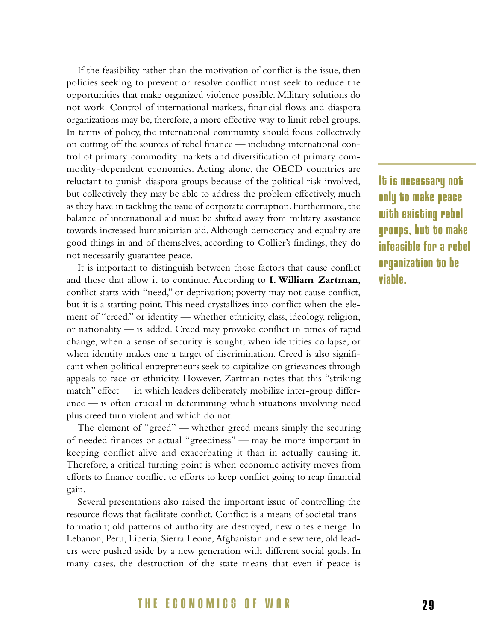If the feasibility rather than the motivation of conflict is the issue, then policies seeking to prevent or resolve conflict must seek to reduce the opportunities that make organized violence possible. Military solutions do not work. Control of international markets, financial flows and diaspora organizations may be, therefore, a more effective way to limit rebel groups. In terms of policy, the international community should focus collectively on cutting off the sources of rebel finance — including international control of primary commodity markets and diversification of primary commodity-dependent economies. Acting alone, the OECD countries are reluctant to punish diaspora groups because of the political risk involved, but collectively they may be able to address the problem effectively, much as they have in tackling the issue of corporate corruption. Furthermore, the balance of international aid must be shifted away from military assistance towards increased humanitarian aid. Although democracy and equality are good things in and of themselves, according to Collier's findings, they do not necessarily guarantee peace.

It is important to distinguish between those factors that cause conflict and those that allow it to continue. According to **I. William Zartman**, conflict starts with "need," or deprivation; poverty may not cause conflict, but it is a starting point.This need crystallizes into conflict when the element of "creed," or identity — whether ethnicity, class, ideology, religion, or nationality — is added. Creed may provoke conflict in times of rapid change, when a sense of security is sought, when identities collapse, or when identity makes one a target of discrimination. Creed is also significant when political entrepreneurs seek to capitalize on grievances through appeals to race or ethnicity. However, Zartman notes that this "striking match" effect — in which leaders deliberately mobilize inter-group difference — is often crucial in determining which situations involving need plus creed turn violent and which do not.

The element of "greed" — whether greed means simply the securing of needed finances or actual "greediness" — may be more important in keeping conflict alive and exacerbating it than in actually causing it. Therefore, a critical turning point is when economic activity moves from efforts to finance conflict to efforts to keep conflict going to reap financial gain.

Several presentations also raised the important issue of controlling the resource flows that facilitate conflict. Conflict is a means of societal transformation; old patterns of authority are destroyed, new ones emerge. In Lebanon, Peru, Liberia, Sierra Leone, Afghanistan and elsewhere, old leaders were pushed aside by a new generation with different social goals. In many cases, the destruction of the state means that even if peace is **It is necessary not only to make peace with existing rebel groups, but to make infeasible for a rebel organization to be viable.**

### **THE ECONOMICS OF WAR 2 9**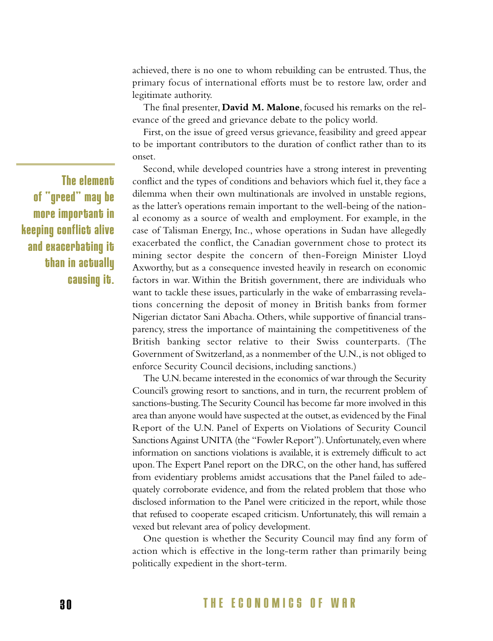achieved, there is no one to whom rebuilding can be entrusted.Thus, the primary focus of international efforts must be to restore law, order and legitimate authority.

The final presenter, **David M. Malone**, focused his remarks on the relevance of the greed and grievance debate to the policy world.

First, on the issue of greed versus grievance, feasibility and greed appear to be important contributors to the duration of conflict rather than to its onset.

Second, while developed countries have a strong interest in preventing conflict and the types of conditions and behaviors which fuel it, they face a dilemma when their own multinationals are involved in unstable regions, as the latter's operations remain important to the well-being of the national economy as a source of wealth and employment. For example, in the case of Talisman Energy, Inc., whose operations in Sudan have allegedly exacerbated the conflict, the Canadian government chose to protect its mining sector despite the concern of then-Foreign Minister Lloyd Axworthy, but as a consequence invested heavily in research on economic factors in war. Within the British government, there are individuals who want to tackle these issues, particularly in the wake of embarrassing revelations concerning the deposit of money in British banks from former Nigerian dictator Sani Abacha. Others, while supportive of financial transparency, stress the importance of maintaining the competitiveness of the British banking sector relative to their Swiss counterparts. (The Government of Switzerland, as a nonmember of the U.N., is not obliged to enforce Security Council decisions, including sanctions.)

The U.N.became interested in the economics of war through the Security Council's growing resort to sanctions, and in turn, the recurrent problem of sanctions-busting.The Security Council has become far more involved in this area than anyone would have suspected at the outset, as evidenced by the Final Report of the U.N. Panel of Experts on Violations of Security Council Sanctions Against UNITA (the "Fowler Report"). Unfortunately, even where information on sanctions violations is available, it is extremely difficult to act upon.The Expert Panel report on the DRC, on the other hand, has suffered from evidentiary problems amidst accusations that the Panel failed to adequately corroborate evidence, and from the related problem that those who disclosed information to the Panel were criticized in the report, while those that refused to cooperate escaped criticism. Unfortunately, this will remain a vexed but relevant area of policy development.

One question is whether the Security Council may find any form of action which is effective in the long-term rather than primarily being politically expedient in the short-term.

**The element of "greed" may be more important in keeping conflict alive and exacerbating it than in actually causing it.**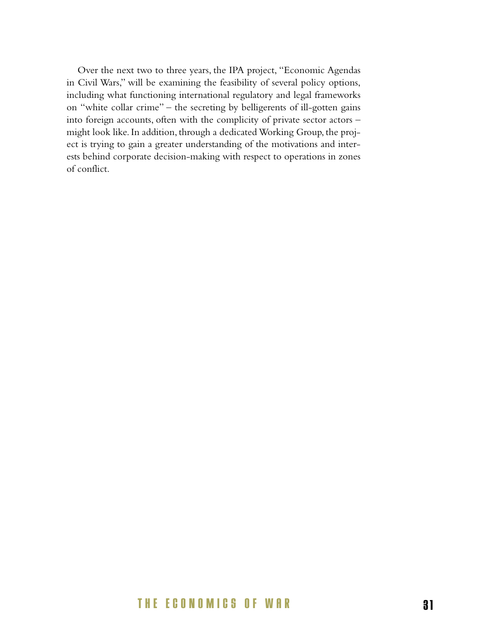Over the next two to three years, the IPA project, "Economic Agendas in Civil Wars," will be examining the feasibility of several policy options, including what functioning international regulatory and legal frameworks on "white collar crime" – the secreting by belligerents of ill-gotten gains into foreign accounts, often with the complicity of private sector actors – might look like. In addition, through a dedicated Working Group, the project is trying to gain a greater understanding of the motivations and interests behind corporate decision-making with respect to operations in zones of conflict.

### **THE ECONOMICS OF WAR 3 1**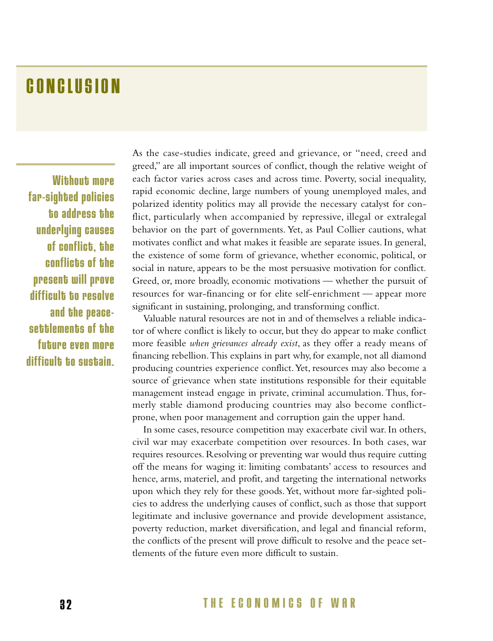## **CONCLUSION**

**Without more far-sighted policies to address the underlying causes of conflict, the conflicts of the present will prove difficult to resolve and the peacesettlements of the future even more difficult to sustain.** As the case-studies indicate, greed and grievance, or "need, creed and greed," are all important sources of conflict, though the relative weight of each factor varies across cases and across time. Poverty, social inequality, rapid economic decline, large numbers of young unemployed males, and polarized identity politics may all provide the necessary catalyst for conflict, particularly when accompanied by repressive, illegal or extralegal behavior on the part of governments. Yet, as Paul Collier cautions, what motivates conflict and what makes it feasible are separate issues. In general, the existence of some form of grievance, whether economic, political, or social in nature, appears to be the most persuasive motivation for conflict. Greed, or, more broadly, economic motivations — whether the pursuit of resources for war-financing or for elite self-enrichment — appear more significant in sustaining, prolonging, and transforming conflict.

Valuable natural resources are not in and of themselves a reliable indicator of where conflict is likely to occur, but they do appear to make conflict more feasible *when grievances already exist*, as they offer a ready means of financing rebellion.This explains in part why, for example, not all diamond producing countries experience conflict.Yet, resources may also become a source of grievance when state institutions responsible for their equitable management instead engage in private, criminal accumulation. Thus, formerly stable diamond producing countries may also become conflictprone, when poor management and corruption gain the upper hand.

In some cases, resource competition may exacerbate civil war. In others, civil war may exacerbate competition over resources. In both cases, war requires resources. Resolving or preventing war would thus require cutting off the means for waging it: limiting combatants' access to resources and hence, arms, materiel, and profit, and targeting the international networks upon which they rely for these goods.Yet, without more far-sighted policies to address the underlying causes of conflict, such as those that support legitimate and inclusive governance and provide development assistance, poverty reduction, market diversification, and legal and financial reform, the conflicts of the present will prove difficult to resolve and the peace settlements of the future even more difficult to sustain.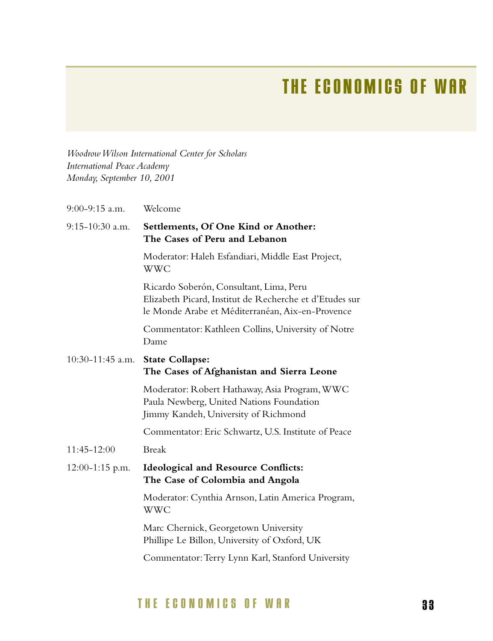## **THE ECONOMICS OF WAR**

*Woodrow Wilson International Center for Scholars International Peace Academy Monday, September 10, 2001*

| 9:00-9:15 a.m.     | Welcome                                                                                                                                                |
|--------------------|--------------------------------------------------------------------------------------------------------------------------------------------------------|
| 9:15-10:30 a.m.    | Settlements, Of One Kind or Another:<br>The Cases of Peru and Lebanon                                                                                  |
|                    | Moderator: Haleh Esfandiari, Middle East Project,<br><b>WWC</b>                                                                                        |
|                    | Ricardo Soberón, Consultant, Lima, Peru<br>Elizabeth Picard, Institut de Recherche et d'Etudes sur<br>le Monde Arabe et Méditerranéan, Aix-en-Provence |
|                    | Commentator: Kathleen Collins, University of Notre<br>Dame                                                                                             |
| $10:30-11:45$ a.m. | <b>State Collapse:</b><br>The Cases of Afghanistan and Sierra Leone                                                                                    |
|                    | Moderator: Robert Hathaway, Asia Program, WWC<br>Paula Newberg, United Nations Foundation<br>Jimmy Kandeh, University of Richmond                      |
|                    | Commentator: Eric Schwartz, U.S. Institute of Peace                                                                                                    |
| 11:45-12:00        | <b>Break</b>                                                                                                                                           |
| $12:00-1:15$ p.m.  | <b>Ideological and Resource Conflicts:</b><br>The Case of Colombia and Angola                                                                          |
|                    | Moderator: Cynthia Arnson, Latin America Program,<br><b>WWC</b>                                                                                        |
|                    | Marc Chernick, Georgetown University<br>Phillipe Le Billon, University of Oxford, UK                                                                   |
|                    | Commentator: Terry Lynn Karl, Stanford University                                                                                                      |
|                    |                                                                                                                                                        |

### **THE ECONOMICS OF WAR 3 3**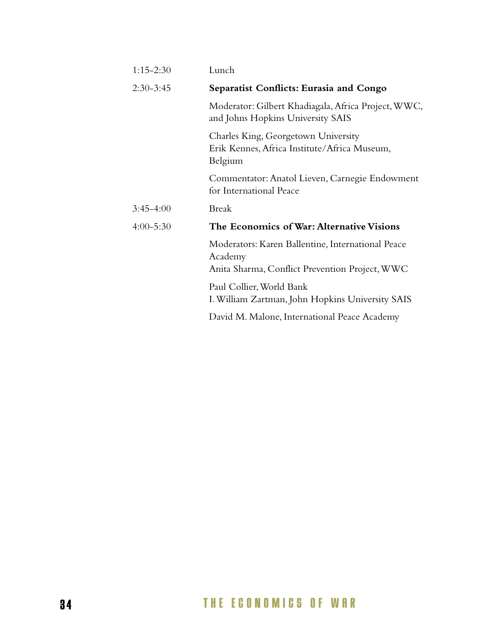| $1:15-2:30$   | Lunch                                                                                                          |
|---------------|----------------------------------------------------------------------------------------------------------------|
| $2:30-3:45$   | Separatist Conflicts: Eurasia and Congo                                                                        |
|               | Moderator: Gilbert Khadiagala, Africa Project, WWC,<br>and Johns Hopkins University SAIS                       |
|               | Charles King, Georgetown University<br>Erik Kennes, Africa Institute/Africa Museum,<br>Belgium                 |
|               | Commentator: Anatol Lieven, Carnegie Endowment<br>for International Peace                                      |
| $3:45-4:00$   | Break                                                                                                          |
| $4:00 - 5:30$ | The Economics of War: Alternative Visions                                                                      |
|               | Moderators: Karen Ballentine, International Peace<br>Academy<br>Anita Sharma, Conflict Prevention Project, WWC |
|               | Paul Collier, World Bank<br>I. William Zartman, John Hopkins University SAIS                                   |
|               | David M. Malone, International Peace Academy                                                                   |